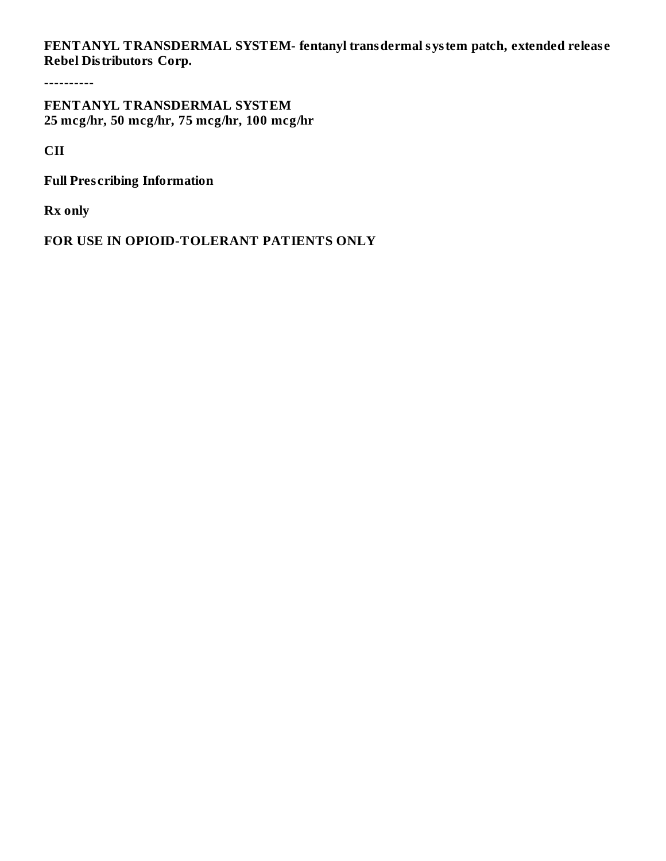**FENTANYL TRANSDERMAL SYSTEM- fentanyl transdermal system patch, extended releas e Rebel Distributors Corp.**

----------

**FENTANYL TRANSDERMAL SYSTEM 25 mcg/hr, 50 mcg/hr, 75 mcg/hr, 100 mcg/hr**

**CII**

**Full Pres cribing Information**

**Rx only**

**FOR USE IN OPIOID-TOLERANT PATIENTS ONLY**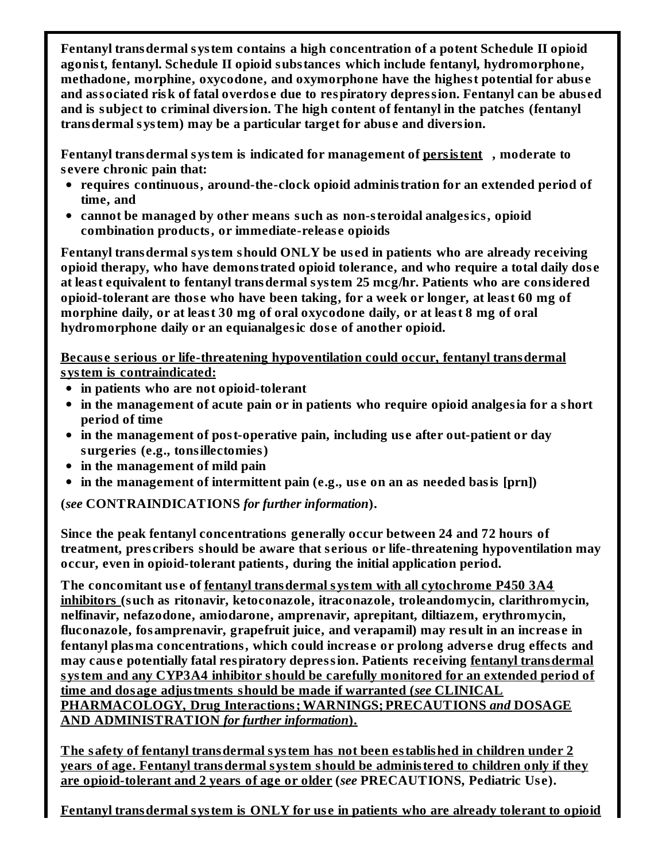**Fentanyl transdermal system contains a high concentration of a potent Schedule II opioid agonist, fentanyl. Schedule II opioid substances which include fentanyl, hydromorphone, methadone, morphine, oxycodone, and oxymorphone have the highest potential for abus e and associated risk of fatal overdos e due to respiratory depression. Fentanyl can be abus ed and is subject to criminal diversion. The high content of fentanyl in the patches (fentanyl transdermal system) may be a particular target for abus e and diversion.**

**Fentanyl transdermal system is indicated for management of persistent , moderate to s evere chronic pain that:**

- **requires continuous, around-the-clock opioid administration for an extended period of time, and**
- **cannot be managed by other means such as non-steroidal analgesics, opioid combination products, or immediate-releas e opioids**

**Fentanyl transdermal system should ONLY be us ed in patients who are already receiving opioid therapy, who have demonstrated opioid tolerance, and who require a total daily dos e at least equivalent to fentanyl transdermal system 25 mcg/hr. Patients who are considered opioid-tolerant are thos e who have been taking, for a week or longer, at least 60 mg of morphine daily, or at least 30 mg of oral oxycodone daily, or at least 8 mg of oral hydromorphone daily or an equianalgesic dos e of another opioid.**

**Becaus e s erious or life-threatening hypoventilation could occur, fentanyl transdermal system is contraindicated:**

- **in patients who are not opioid-tolerant**
- **in the management of acute pain or in patients who require opioid analgesia for a short period of time**
- **in the management of post-operative pain, including us e after out-patient or day surgeries (e.g., tonsillectomies)**
- **in the management of mild pain**
- **in the management of intermittent pain (e.g., us e on an as needed basis [prn])**

**(***see* **CONTRAINDICATIONS** *for further information***).**

**Since the peak fentanyl concentrations generally occur between 24 and 72 hours of treatment, pres cribers should be aware that s erious or life-threatening hypoventilation may occur, even in opioid-tolerant patients, during the initial application period.**

**The concomitant us e of fentanyl transdermal system with all cytochrome P450 3A4 inhibitors (such as ritonavir, ketoconazole, itraconazole, troleandomycin, clarithromycin, nelfinavir, nefazodone, amiodarone, amprenavir, aprepitant, diltiazem, erythromycin, fluconazole, fosamprenavir, grapefruit juice, and verapamil) may result in an increas e in fentanyl plasma concentrations, which could increas e or prolong advers e drug effects and may caus e potentially fatal respiratory depression. Patients receiving fentanyl transdermal system and any CYP3A4 inhibitor should be carefully monitored for an extended period of time and dosage adjustments should be made if warranted (***see* **CLINICAL PHARMACOLOGY, Drug Interactions; WARNINGS; PRECAUTIONS** *and* **DOSAGE AND ADMINISTRATION** *for further information***).**

**The safety of fentanyl transdermal system has not been established in children under 2 years of age. Fentanyl transdermal system should be administered to children only if they are opioid-tolerant and 2 years of age or older (***see* **PRECAUTIONS, Pediatric Us e).**

**Fentanyl transdermal system is ONLY for us e in patients who are already tolerant to opioid**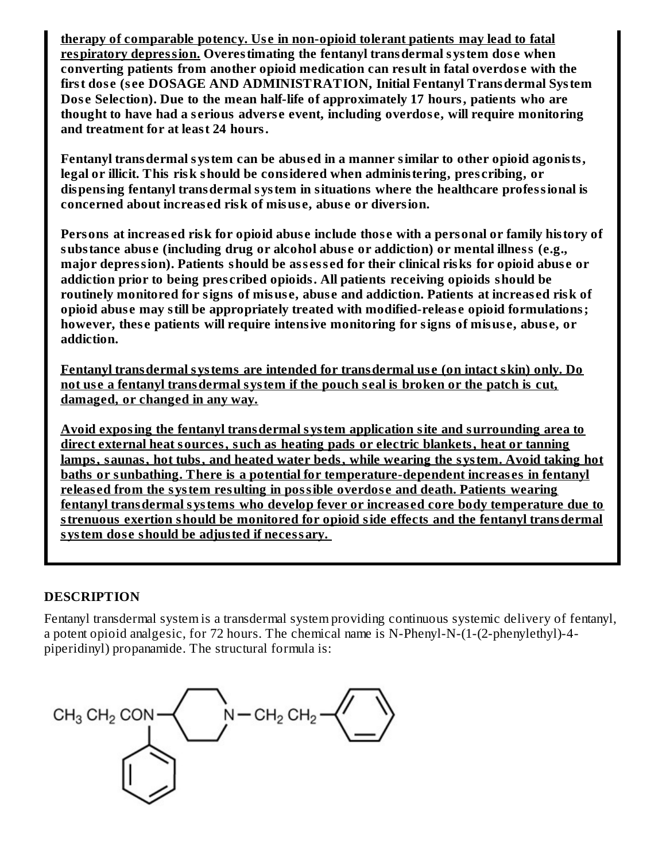**therapy of comparable potency. Us e in non-opioid tolerant patients may lead to fatal respiratory depression. Overestimating the fentanyl transdermal system dos e when converting patients from another opioid medication can result in fatal overdos e with the first dos e (s ee DOSAGE AND ADMINISTRATION, Initial Fentanyl Transdermal System Dos e Selection). Due to the mean half-life of approximately 17 hours, patients who are thought to have had a s erious advers e event, including overdos e, will require monitoring and treatment for at least 24 hours.**

**Fentanyl transdermal system can be abus ed in a manner similar to other opioid agonists, legal or illicit. This risk should be considered when administering, pres cribing, or dispensing fentanyl transdermal system in situations where the healthcare professional is concerned about increas ed risk of misus e, abus e or diversion.**

Persons at increased risk for opioid abuse include those with a personal or family history of **substance abus e (including drug or alcohol abus e or addiction) or mental illness (e.g., major depression). Patients should be ass ess ed for their clinical risks for opioid abus e or addiction prior to being pres cribed opioids. All patients receiving opioids should be routinely monitored for signs of misus e, abus e and addiction. Patients at increas ed risk of opioid abus e may still be appropriately treated with modified-releas e opioid formulations; however, thes e patients will require intensive monitoring for signs of misus e, abus e, or addiction.**

**Fentanyl transdermal systems are intended for transdermal us e (on intact skin) only. Do not us e a fentanyl transdermal system if the pouch s eal is broken or the patch is cut, damaged, or changed in any way.**

**Avoid exposing the fentanyl transdermal system application site and surrounding area to direct external heat sources, such as heating pads or electric blankets, heat or tanning lamps, saunas, hot tubs, and heated water beds, while wearing the system. Avoid taking hot baths or sunbathing. There is a potential for temperature-dependent increas es in fentanyl releas ed from the system resulting in possible overdos e and death. Patients wearing fentanyl transdermal systems who develop fever or increas ed core body temperature due to strenuous exertion should be monitored for opioid side effects and the fentanyl transdermal system dos e should be adjusted if necessary.**

#### **DESCRIPTION**

Fentanyl transdermal system is a transdermal system providing continuous systemic delivery of fentanyl, a potent opioid analgesic, for 72 hours. The chemical name is N-Phenyl-N-(1-(2-phenylethyl)-4 piperidinyl) propanamide. The structural formula is:

 $N - CH<sub>2</sub> CH<sub>2</sub>$ CH<sub>3</sub> CH<sub>2</sub> CON-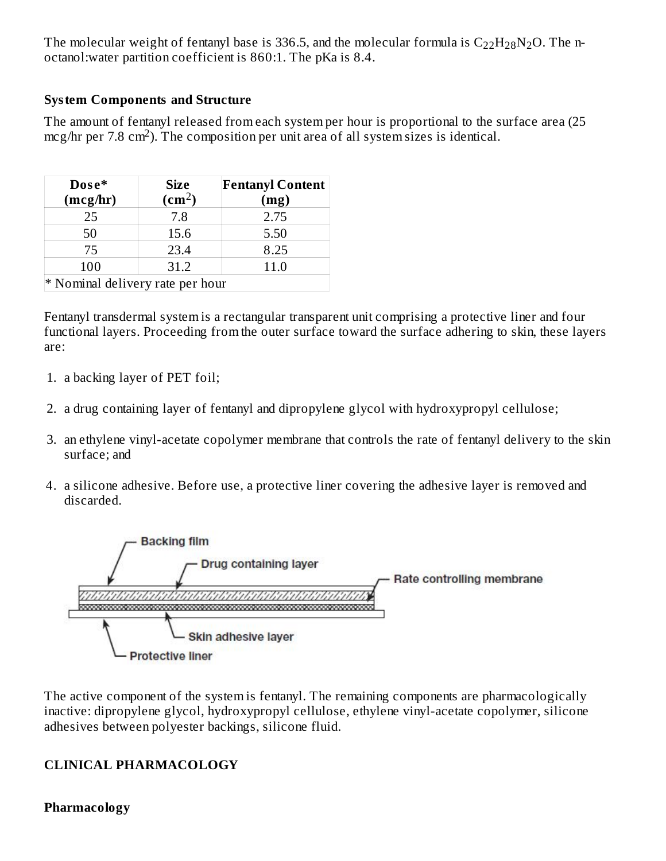The molecular weight of fentanyl base is 336.5, and the molecular formula is  $\rm{C_{22}H_{28}N_2O}.$  The noctanol:water partition coefficient is 860:1. The pKa is 8.4.

## **System Components and Structure**

The amount of fentanyl released from each system per hour is proportional to the surface area (25  $mg/hr$  per 7.8 cm<sup>2</sup>). The composition per unit area of all system sizes is identical.

| Dose*<br>(mcg/hr)                | <b>Size</b><br>$\text{(cm}^2\text{)}$ | <b>Fentanyl Content</b><br>(mg) |  |  |  |  |
|----------------------------------|---------------------------------------|---------------------------------|--|--|--|--|
| 25                               | 7.8                                   | 2.75                            |  |  |  |  |
| 50                               | 15.6                                  | 5.50                            |  |  |  |  |
| 75                               | 23.4                                  | 8.25                            |  |  |  |  |
| 31.2<br>100<br>11.0              |                                       |                                 |  |  |  |  |
| * Nominal delivery rate per hour |                                       |                                 |  |  |  |  |

Fentanyl transdermal system is a rectangular transparent unit comprising a protective liner and four functional layers. Proceeding from the outer surface toward the surface adhering to skin, these layers are:

- 1. a backing layer of PET foil;
- 2. a drug containing layer of fentanyl and dipropylene glycol with hydroxypropyl cellulose;
- 3. an ethylene vinyl-acetate copolymer membrane that controls the rate of fentanyl delivery to the skin surface; and
- 4. a silicone adhesive. Before use, a protective liner covering the adhesive layer is removed and discarded.



The active component of the system is fentanyl. The remaining components are pharmacologically inactive: dipropylene glycol, hydroxypropyl cellulose, ethylene vinyl-acetate copolymer, silicone adhesives between polyester backings, silicone fluid.

## **CLINICAL PHARMACOLOGY**

## **Pharmacology**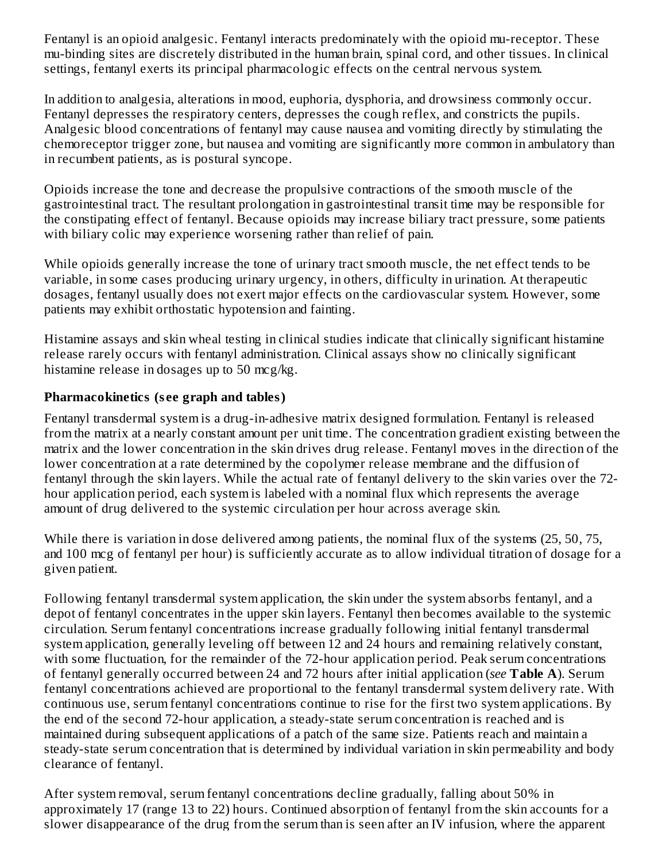Fentanyl is an opioid analgesic. Fentanyl interacts predominately with the opioid mu-receptor. These mu-binding sites are discretely distributed in the human brain, spinal cord, and other tissues. In clinical settings, fentanyl exerts its principal pharmacologic effects on the central nervous system.

In addition to analgesia, alterations in mood, euphoria, dysphoria, and drowsiness commonly occur. Fentanyl depresses the respiratory centers, depresses the cough reflex, and constricts the pupils. Analgesic blood concentrations of fentanyl may cause nausea and vomiting directly by stimulating the chemoreceptor trigger zone, but nausea and vomiting are significantly more common in ambulatory than in recumbent patients, as is postural syncope.

Opioids increase the tone and decrease the propulsive contractions of the smooth muscle of the gastrointestinal tract. The resultant prolongation in gastrointestinal transit time may be responsible for the constipating effect of fentanyl. Because opioids may increase biliary tract pressure, some patients with biliary colic may experience worsening rather than relief of pain.

While opioids generally increase the tone of urinary tract smooth muscle, the net effect tends to be variable, in some cases producing urinary urgency, in others, difficulty in urination. At therapeutic dosages, fentanyl usually does not exert major effects on the cardiovascular system. However, some patients may exhibit orthostatic hypotension and fainting.

Histamine assays and skin wheal testing in clinical studies indicate that clinically significant histamine release rarely occurs with fentanyl administration. Clinical assays show no clinically significant histamine release in dosages up to 50 mcg/kg.

## **Pharmacokinetics (s ee graph and tables)**

Fentanyl transdermal system is a drug-in-adhesive matrix designed formulation. Fentanyl is released from the matrix at a nearly constant amount per unit time. The concentration gradient existing between the matrix and the lower concentration in the skin drives drug release. Fentanyl moves in the direction of the lower concentration at a rate determined by the copolymer release membrane and the diffusion of fentanyl through the skin layers. While the actual rate of fentanyl delivery to the skin varies over the 72 hour application period, each system is labeled with a nominal flux which represents the average amount of drug delivered to the systemic circulation per hour across average skin.

While there is variation in dose delivered among patients, the nominal flux of the systems (25, 50, 75, and 100 mcg of fentanyl per hour) is sufficiently accurate as to allow individual titration of dosage for a given patient.

Following fentanyl transdermal system application, the skin under the system absorbs fentanyl, and a depot of fentanyl concentrates in the upper skin layers. Fentanyl then becomes available to the systemic circulation. Serum fentanyl concentrations increase gradually following initial fentanyl transdermal system application, generally leveling off between 12 and 24 hours and remaining relatively constant, with some fluctuation, for the remainder of the 72-hour application period. Peak serum concentrations of fentanyl generally occurred between 24 and 72 hours after initial application (*see* **Table A**). Serum fentanyl concentrations achieved are proportional to the fentanyl transdermal system delivery rate. With continuous use, serum fentanyl concentrations continue to rise for the first two system applications. By the end of the second 72-hour application, a steady-state serum concentration is reached and is maintained during subsequent applications of a patch of the same size. Patients reach and maintain a steady-state serum concentration that is determined by individual variation in skin permeability and body clearance of fentanyl.

After system removal, serum fentanyl concentrations decline gradually, falling about 50% in approximately 17 (range 13 to 22) hours. Continued absorption of fentanyl from the skin accounts for a slower disappearance of the drug from the serum than is seen after an IV infusion, where the apparent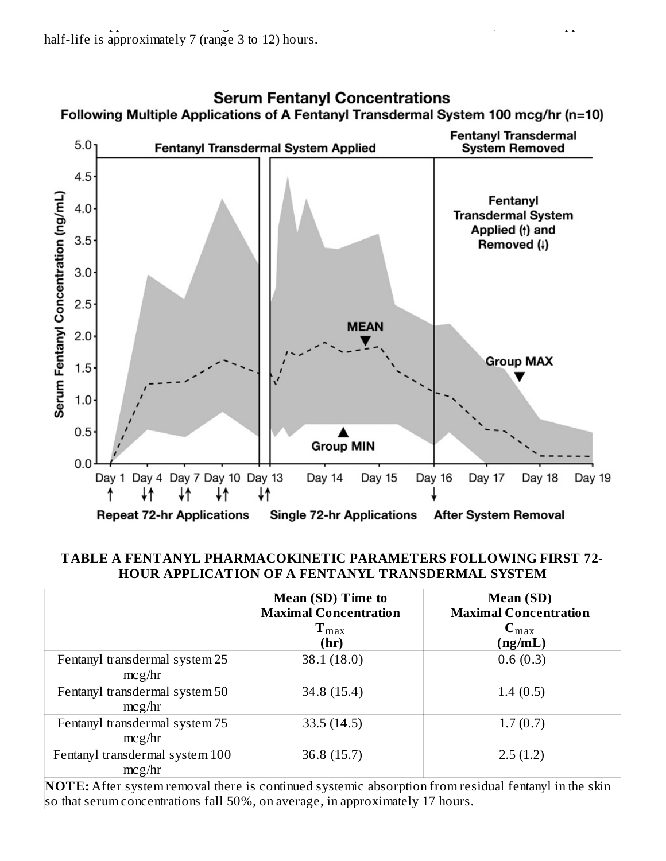

#### **TABLE A FENTANYL PHARMACOKINETIC PARAMETERS FOLLOWING FIRST 72- HOUR APPLICATION OF A FENTANYL TRANSDERMAL SYSTEM**

|                                           | <b>Mean (SD) Time to</b><br><b>Maximal Concentration</b><br>$\mathbf{T}_{\text{max}}$<br>(hr) | Mean (SD)<br><b>Maximal Concentration</b><br>$C_{\text{max}}$<br>(ng/mL) |
|-------------------------------------------|-----------------------------------------------------------------------------------------------|--------------------------------------------------------------------------|
| Fentanyl transdermal system 25<br>mcg/hr  | 38.1(18.0)                                                                                    | 0.6(0.3)                                                                 |
| Fentanyl transdermal system 50<br>mcg/hr  | 34.8 (15.4)                                                                                   | 1.4(0.5)                                                                 |
| Fentanyl transdermal system 75<br>mcg/hr  | 33.5(14.5)                                                                                    | 1.7(0.7)                                                                 |
| Fentanyl transdermal system 100<br>mcg/hr | 36.8 (15.7)                                                                                   | 2.5(1.2)                                                                 |

**NOTE:** After system removal there is continued systemic absorption from residual fentanyl in the skin so that serum concentrations fall 50%, on average, in approximately 17 hours.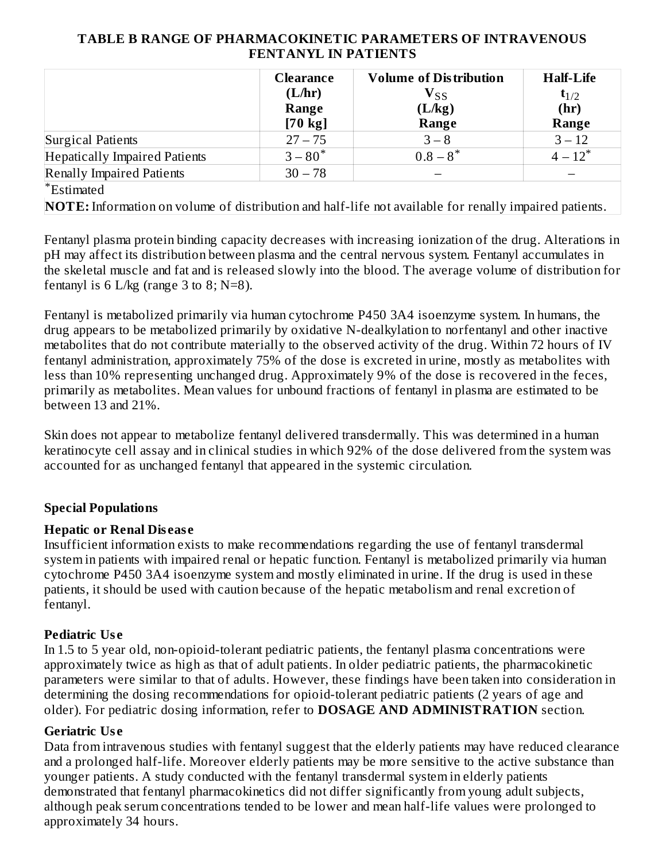## **TABLE B RANGE OF PHARMACOKINETIC PARAMETERS OF INTRAVENOUS FENTANYL IN PATIENTS**

|                                                                                                        | <b>Clearance</b><br>(L/hr)<br>Range<br>$[70 \text{ kg}]$ | <b>Volume of Distribution</b><br>$V_{SS}$<br>(L/kg)<br>Range | <b>Half-Life</b><br>$t_{1/2}$<br>(hr)<br>Range |
|--------------------------------------------------------------------------------------------------------|----------------------------------------------------------|--------------------------------------------------------------|------------------------------------------------|
| Surgical Patients                                                                                      | $27 - 75$                                                | $3 - 8$                                                      | $3 - 12$                                       |
| <b>Hepatically Impaired Patients</b>                                                                   | $3 - 80^*$                                               | $0.8 - 8^*$                                                  | $4 - 12^*$                                     |
| <b>Renally Impaired Patients</b>                                                                       | $30 - 78$                                                |                                                              |                                                |
| *Estimated                                                                                             |                                                          |                                                              |                                                |
| NOTE: Information on volume of distribution and half-life not available for renally impaired patients. |                                                          |                                                              |                                                |

Fentanyl plasma protein binding capacity decreases with increasing ionization of the drug. Alterations in pH may affect its distribution between plasma and the central nervous system. Fentanyl accumulates in the skeletal muscle and fat and is released slowly into the blood. The average volume of distribution for fentanyl is 6 L/kg (range 3 to 8;  $N=8$ ).

Fentanyl is metabolized primarily via human cytochrome P450 3A4 isoenzyme system. In humans, the drug appears to be metabolized primarily by oxidative N-dealkylation to norfentanyl and other inactive metabolites that do not contribute materially to the observed activity of the drug. Within 72 hours of IV fentanyl administration, approximately 75% of the dose is excreted in urine, mostly as metabolites with less than 10% representing unchanged drug. Approximately 9% of the dose is recovered in the feces, primarily as metabolites. Mean values for unbound fractions of fentanyl in plasma are estimated to be between 13 and 21%.

Skin does not appear to metabolize fentanyl delivered transdermally. This was determined in a human keratinocyte cell assay and in clinical studies in which 92% of the dose delivered from the system was accounted for as unchanged fentanyl that appeared in the systemic circulation.

# **Special Populations**

## **Hepatic or Renal Dis eas e**

Insufficient information exists to make recommendations regarding the use of fentanyl transdermal system in patients with impaired renal or hepatic function. Fentanyl is metabolized primarily via human cytochrome P450 3A4 isoenzyme system and mostly eliminated in urine. If the drug is used in these patients, it should be used with caution because of the hepatic metabolism and renal excretion of fentanyl.

# **Pediatric Us e**

In 1.5 to 5 year old, non-opioid-tolerant pediatric patients, the fentanyl plasma concentrations were approximately twice as high as that of adult patients. In older pediatric patients, the pharmacokinetic parameters were similar to that of adults. However, these findings have been taken into consideration in determining the dosing recommendations for opioid-tolerant pediatric patients (2 years of age and older). For pediatric dosing information, refer to **DOSAGE AND ADMINISTRATION** section.

## **Geriatric Us e**

Data from intravenous studies with fentanyl suggest that the elderly patients may have reduced clearance and a prolonged half-life. Moreover elderly patients may be more sensitive to the active substance than younger patients. A study conducted with the fentanyl transdermal system in elderly patients demonstrated that fentanyl pharmacokinetics did not differ significantly from young adult subjects, although peak serum concentrations tended to be lower and mean half-life values were prolonged to approximately 34 hours.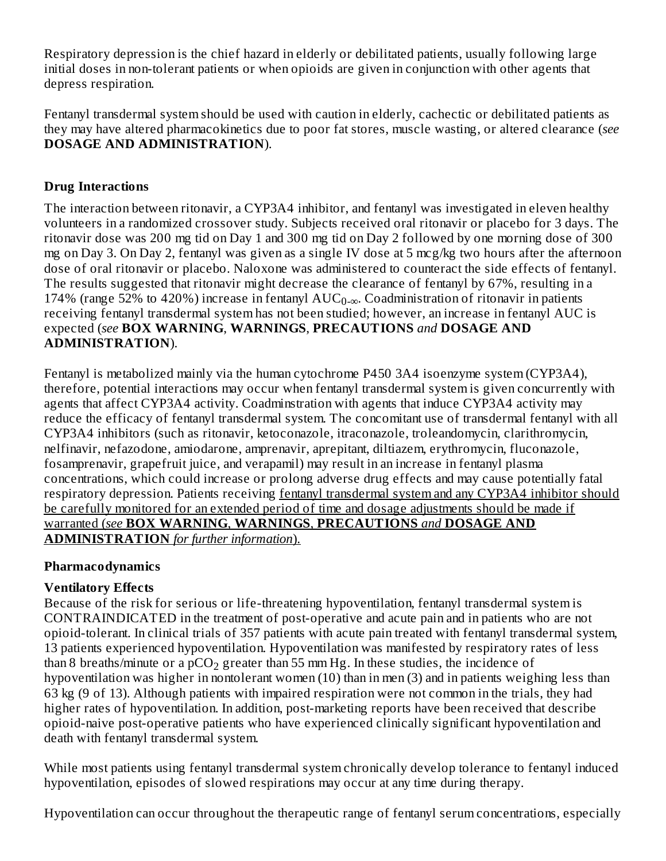Respiratory depression is the chief hazard in elderly or debilitated patients, usually following large initial doses in non-tolerant patients or when opioids are given in conjunction with other agents that depress respiration.

Fentanyl transdermal system should be used with caution in elderly, cachectic or debilitated patients as they may have altered pharmacokinetics due to poor fat stores, muscle wasting, or altered clearance (*see* **DOSAGE AND ADMINISTRATION**).

# **Drug Interactions**

The interaction between ritonavir, a CYP3A4 inhibitor, and fentanyl was investigated in eleven healthy volunteers in a randomized crossover study. Subjects received oral ritonavir or placebo for 3 days. The ritonavir dose was 200 mg tid on Day 1 and 300 mg tid on Day 2 followed by one morning dose of 300 mg on Day 3. On Day 2, fentanyl was given as a single IV dose at 5 mcg/kg two hours after the afternoon dose of oral ritonavir or placebo. Naloxone was administered to counteract the side effects of fentanyl. The results suggested that ritonavir might decrease the clearance of fentanyl by 67%, resulting in a 174% (range 52% to 420%) increase in fentanyl  $\mathrm{AUC}_{0-\infty}$ . Coadministration of ritonavir in patients receiving fentanyl transdermal system has not been studied; however, an increase in fentanyl AUC is expected (*see* **BOX WARNING**, **WARNINGS**, **PRECAUTIONS** *and* **DOSAGE AND ADMINISTRATION**).

Fentanyl is metabolized mainly via the human cytochrome P450 3A4 isoenzyme system (CYP3A4), therefore, potential interactions may occur when fentanyl transdermal system is given concurrently with agents that affect CYP3A4 activity. Coadminstration with agents that induce CYP3A4 activity may reduce the efficacy of fentanyl transdermal system. The concomitant use of transdermal fentanyl with all CYP3A4 inhibitors (such as ritonavir, ketoconazole, itraconazole, troleandomycin, clarithromycin, nelfinavir, nefazodone, amiodarone, amprenavir, aprepitant, diltiazem, erythromycin, fluconazole, fosamprenavir, grapefruit juice, and verapamil) may result in an increase in fentanyl plasma concentrations, which could increase or prolong adverse drug effects and may cause potentially fatal respiratory depression. Patients receiving fentanyl transdermal system and any CYP3A4 inhibitor should be carefully monitored for an extended period of time and dosage adjustments should be made if warranted (*see* **BOX WARNING**, **WARNINGS**, **PRECAUTIONS** *and* **DOSAGE AND ADMINISTRATION** *for further information*).

## **Pharmacodynamics**

# **Ventilatory Effects**

Because of the risk for serious or life-threatening hypoventilation, fentanyl transdermal system is CONTRAINDICATED in the treatment of post-operative and acute pain and in patients who are not opioid-tolerant. In clinical trials of 357 patients with acute pain treated with fentanyl transdermal system, 13 patients experienced hypoventilation. Hypoventilation was manifested by respiratory rates of less than 8 breaths/minute or a pCO $_2$  greater than 55 mm Hg. In these studies, the incidence of hypoventilation was higher in nontolerant women (10) than in men (3) and in patients weighing less than 63 kg (9 of 13). Although patients with impaired respiration were not common in the trials, they had higher rates of hypoventilation. In addition, post-marketing reports have been received that describe opioid-naive post-operative patients who have experienced clinically significant hypoventilation and death with fentanyl transdermal system.

While most patients using fentanyl transdermal system chronically develop tolerance to fentanyl induced hypoventilation, episodes of slowed respirations may occur at any time during therapy.

Hypoventilation can occur throughout the therapeutic range of fentanyl serum concentrations, especially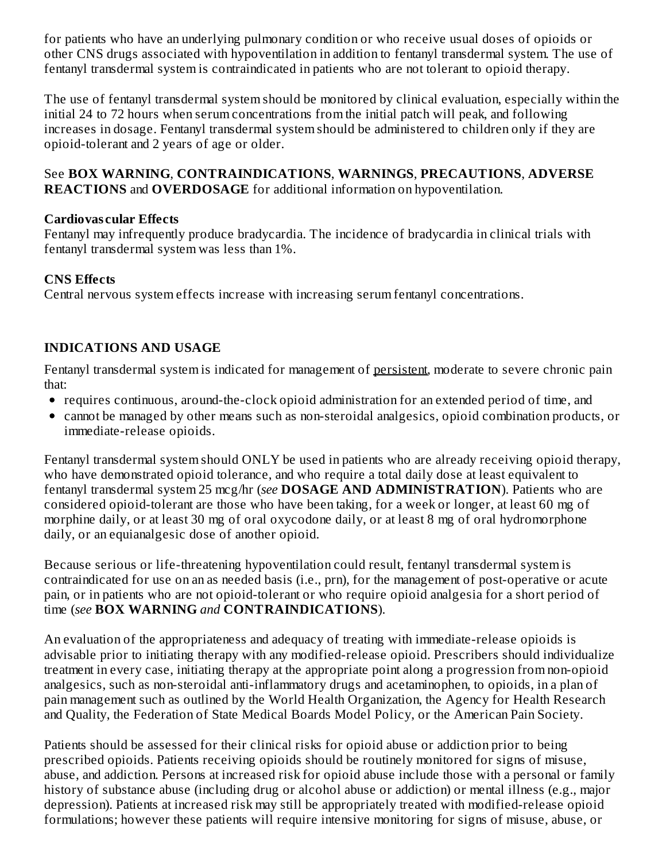for patients who have an underlying pulmonary condition or who receive usual doses of opioids or other CNS drugs associated with hypoventilation in addition to fentanyl transdermal system. The use of fentanyl transdermal system is contraindicated in patients who are not tolerant to opioid therapy.

The use of fentanyl transdermal system should be monitored by clinical evaluation, especially within the initial 24 to 72 hours when serum concentrations from the initial patch will peak, and following increases in dosage. Fentanyl transdermal system should be administered to children only if they are opioid-tolerant and 2 years of age or older.

#### See **BOX WARNING**, **CONTRAINDICATIONS**, **WARNINGS**, **PRECAUTIONS**, **ADVERSE REACTIONS** and **OVERDOSAGE** for additional information on hypoventilation.

### **Cardiovas cular Effects**

Fentanyl may infrequently produce bradycardia. The incidence of bradycardia in clinical trials with fentanyl transdermal system was less than 1%.

## **CNS Effects**

Central nervous system effects increase with increasing serum fentanyl concentrations.

## **INDICATIONS AND USAGE**

Fentanyl transdermal system is indicated for management of persistent, moderate to severe chronic pain that:

- requires continuous, around-the-clock opioid administration for an extended period of time, and
- cannot be managed by other means such as non-steroidal analgesics, opioid combination products, or immediate-release opioids.

Fentanyl transdermal system should ONLY be used in patients who are already receiving opioid therapy, who have demonstrated opioid tolerance, and who require a total daily dose at least equivalent to fentanyl transdermal system 25 mcg/hr (*see* **DOSAGE AND ADMINISTRATION**). Patients who are considered opioid-tolerant are those who have been taking, for a week or longer, at least 60 mg of morphine daily, or at least 30 mg of oral oxycodone daily, or at least 8 mg of oral hydromorphone daily, or an equianalgesic dose of another opioid.

Because serious or life-threatening hypoventilation could result, fentanyl transdermal system is contraindicated for use on an as needed basis (i.e., prn), for the management of post-operative or acute pain, or in patients who are not opioid-tolerant or who require opioid analgesia for a short period of time (*see* **BOX WARNING** *and* **CONTRAINDICATIONS**).

An evaluation of the appropriateness and adequacy of treating with immediate-release opioids is advisable prior to initiating therapy with any modified-release opioid. Prescribers should individualize treatment in every case, initiating therapy at the appropriate point along a progression from non-opioid analgesics, such as non-steroidal anti-inflammatory drugs and acetaminophen, to opioids, in a plan of pain management such as outlined by the World Health Organization, the Agency for Health Research and Quality, the Federation of State Medical Boards Model Policy, or the American Pain Society.

Patients should be assessed for their clinical risks for opioid abuse or addiction prior to being prescribed opioids. Patients receiving opioids should be routinely monitored for signs of misuse, abuse, and addiction. Persons at increased risk for opioid abuse include those with a personal or family history of substance abuse (including drug or alcohol abuse or addiction) or mental illness (e.g., major depression). Patients at increased risk may still be appropriately treated with modified-release opioid formulations; however these patients will require intensive monitoring for signs of misuse, abuse, or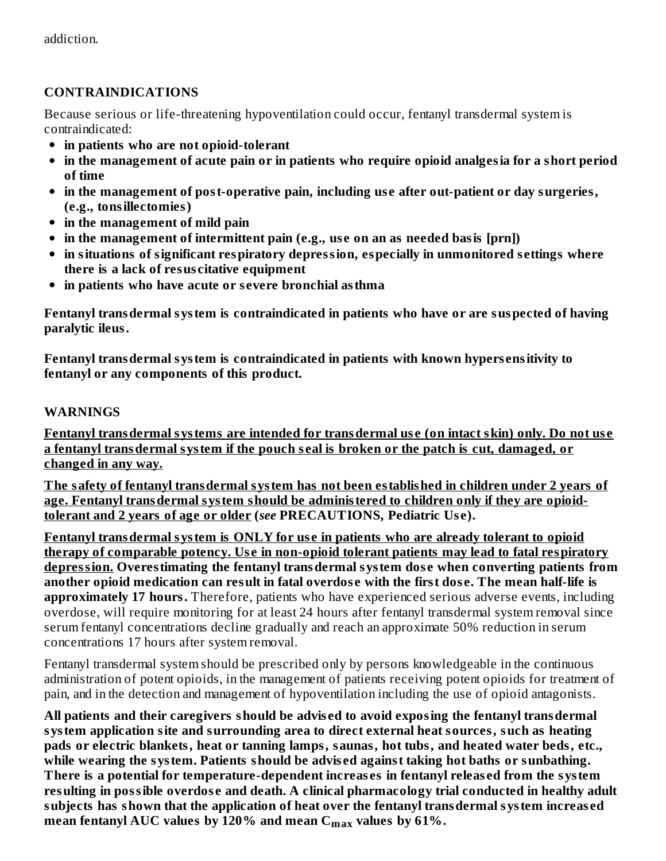# **CONTRAINDICATIONS**

Because serious or life-threatening hypoventilation could occur, fentanyl transdermal system is contraindicated:

- **in patients who are not opioid-tolerant**
- **in the management of acute pain or in patients who require opioid analgesia for a short period of time**
- **in the management of post-operative pain, including us e after out-patient or day surgeries, (e.g., tonsillectomies)**
- **in the management of mild pain**
- **in the management of intermittent pain (e.g., us e on an as needed basis [prn])**
- **in situations of significant respiratory depression, especially in unmonitored s ettings where there is a lack of resus citative equipment**
- **in patients who have acute or s evere bronchial asthma**

**Fentanyl transdermal system is contraindicated in patients who have or are suspected of having paralytic ileus.**

**Fentanyl transdermal system is contraindicated in patients with known hypers ensitivity to fentanyl or any components of this product.**

## **WARNINGS**

**Fentanyl transdermal systems are intended for transdermal us e (on intact skin) only. Do not us e a fentanyl transdermal system if the pouch s eal is broken or the patch is cut, damaged, or changed in any way.**

**The safety of fentanyl transdermal system has not been established in children under 2 years of age. Fentanyl transdermal system should be administered to children only if they are opioidtolerant and 2 years of age or older (***see* **PRECAUTIONS, Pediatric Us e).**

**Fentanyl transdermal system is ONLY for us e in patients who are already tolerant to opioid therapy of comparable potency. Us e in non-opioid tolerant patients may lead to fatal respiratory depression. Overestimating the fentanyl transdermal system dos e when converting patients from** another opioid medication can result in fatal overdose with the first dose. The mean half-life is **approximately 17 hours.** Therefore, patients who have experienced serious adverse events, including overdose, will require monitoring for at least 24 hours after fentanyl transdermal system removal since serum fentanyl concentrations decline gradually and reach an approximate 50% reduction in serum concentrations 17 hours after system removal.

Fentanyl transdermal system should be prescribed only by persons knowledgeable in the continuous administration of potent opioids, in the management of patients receiving potent opioids for treatment of pain, and in the detection and management of hypoventilation including the use of opioid antagonists.

**All patients and their caregivers should be advis ed to avoid exposing the fentanyl transdermal system application site and surrounding area to direct external heat sources, such as heating pads or electric blankets, heat or tanning lamps, saunas, hot tubs, and heated water beds, etc., while wearing the system. Patients should be advis ed against taking hot baths or sunbathing. There is a potential for temperature-dependent increas es in fentanyl releas ed from the system resulting in possible overdos e and death. A clinical pharmacology trial conducted in healthy adult subjects has shown that the application of heat over the fentanyl transdermal system increas ed mean fentanyl AUC values by 120% and mean Cmax values by 61%.**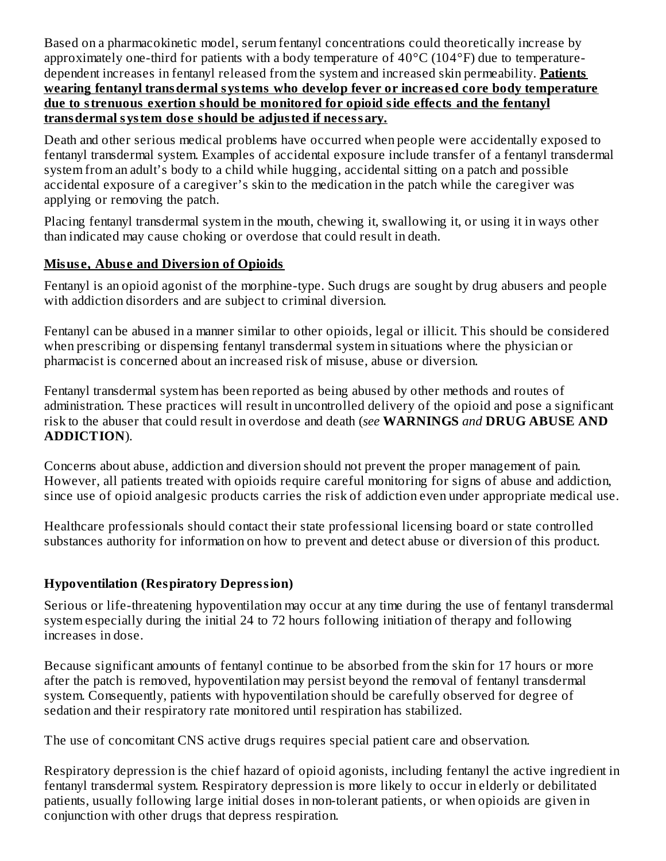Based on a pharmacokinetic model, serum fentanyl concentrations could theoretically increase by approximately one-third for patients with a body temperature of 40°C (104°F) due to temperaturedependent increases in fentanyl released from the system and increased skin permeability. **Patients wearing fentanyl transdermal systems who develop fever or increas ed core body temperature due to strenuous exertion should be monitored for opioid side effects and the fentanyl transdermal system dos e should be adjusted if necessary.**

Death and other serious medical problems have occurred when people were accidentally exposed to fentanyl transdermal system. Examples of accidental exposure include transfer of a fentanyl transdermal system from an adult's body to a child while hugging, accidental sitting on a patch and possible accidental exposure of a caregiver's skin to the medication in the patch while the caregiver was applying or removing the patch.

Placing fentanyl transdermal system in the mouth, chewing it, swallowing it, or using it in ways other than indicated may cause choking or overdose that could result in death.

## **Misus e, Abus e and Diversion of Opioids**

Fentanyl is an opioid agonist of the morphine-type. Such drugs are sought by drug abusers and people with addiction disorders and are subject to criminal diversion.

Fentanyl can be abused in a manner similar to other opioids, legal or illicit. This should be considered when prescribing or dispensing fentanyl transdermal system in situations where the physician or pharmacist is concerned about an increased risk of misuse, abuse or diversion.

Fentanyl transdermal system has been reported as being abused by other methods and routes of administration. These practices will result in uncontrolled delivery of the opioid and pose a significant risk to the abuser that could result in overdose and death (*see* **WARNINGS** *and* **DRUG ABUSE AND ADDICTION**).

Concerns about abuse, addiction and diversion should not prevent the proper management of pain. However, all patients treated with opioids require careful monitoring for signs of abuse and addiction, since use of opioid analgesic products carries the risk of addiction even under appropriate medical use.

Healthcare professionals should contact their state professional licensing board or state controlled substances authority for information on how to prevent and detect abuse or diversion of this product.

# **Hypoventilation (Respiratory Depression)**

Serious or life-threatening hypoventilation may occur at any time during the use of fentanyl transdermal system especially during the initial 24 to 72 hours following initiation of therapy and following increases in dose.

Because significant amounts of fentanyl continue to be absorbed from the skin for 17 hours or more after the patch is removed, hypoventilation may persist beyond the removal of fentanyl transdermal system. Consequently, patients with hypoventilation should be carefully observed for degree of sedation and their respiratory rate monitored until respiration has stabilized.

The use of concomitant CNS active drugs requires special patient care and observation.

Respiratory depression is the chief hazard of opioid agonists, including fentanyl the active ingredient in fentanyl transdermal system. Respiratory depression is more likely to occur in elderly or debilitated patients, usually following large initial doses in non-tolerant patients, or when opioids are given in conjunction with other drugs that depress respiration.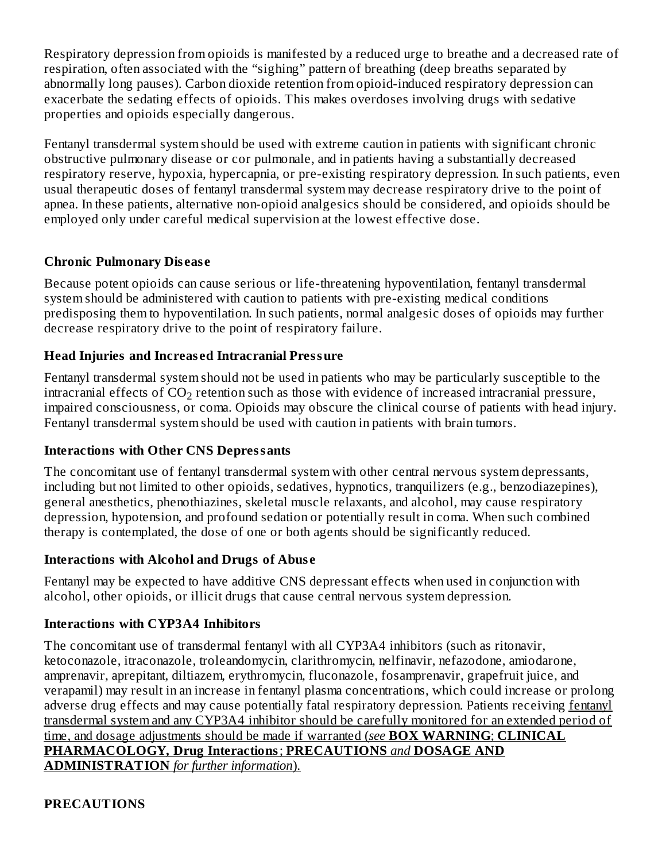Respiratory depression from opioids is manifested by a reduced urge to breathe and a decreased rate of respiration, often associated with the "sighing" pattern of breathing (deep breaths separated by abnormally long pauses). Carbon dioxide retention from opioid-induced respiratory depression can exacerbate the sedating effects of opioids. This makes overdoses involving drugs with sedative properties and opioids especially dangerous.

Fentanyl transdermal system should be used with extreme caution in patients with significant chronic obstructive pulmonary disease or cor pulmonale, and in patients having a substantially decreased respiratory reserve, hypoxia, hypercapnia, or pre-existing respiratory depression. In such patients, even usual therapeutic doses of fentanyl transdermal system may decrease respiratory drive to the point of apnea. In these patients, alternative non-opioid analgesics should be considered, and opioids should be employed only under careful medical supervision at the lowest effective dose.

# **Chronic Pulmonary Dis eas e**

Because potent opioids can cause serious or life-threatening hypoventilation, fentanyl transdermal system should be administered with caution to patients with pre-existing medical conditions predisposing them to hypoventilation. In such patients, normal analgesic doses of opioids may further decrease respiratory drive to the point of respiratory failure.

## **Head Injuries and Increas ed Intracranial Pressure**

Fentanyl transdermal system should not be used in patients who may be particularly susceptible to the intracranial effects of CO $_2$  retention such as those with evidence of increased intracranial pressure, impaired consciousness, or coma. Opioids may obscure the clinical course of patients with head injury. Fentanyl transdermal system should be used with caution in patients with brain tumors.

# **Interactions with Other CNS Depressants**

The concomitant use of fentanyl transdermal system with other central nervous system depressants, including but not limited to other opioids, sedatives, hypnotics, tranquilizers (e.g., benzodiazepines), general anesthetics, phenothiazines, skeletal muscle relaxants, and alcohol, may cause respiratory depression, hypotension, and profound sedation or potentially result in coma. When such combined therapy is contemplated, the dose of one or both agents should be significantly reduced.

# **Interactions with Alcohol and Drugs of Abus e**

Fentanyl may be expected to have additive CNS depressant effects when used in conjunction with alcohol, other opioids, or illicit drugs that cause central nervous system depression.

# **Interactions with CYP3A4 Inhibitors**

The concomitant use of transdermal fentanyl with all CYP3A4 inhibitors (such as ritonavir, ketoconazole, itraconazole, troleandomycin, clarithromycin, nelfinavir, nefazodone, amiodarone, amprenavir, aprepitant, diltiazem, erythromycin, fluconazole, fosamprenavir, grapefruit juice, and verapamil) may result in an increase in fentanyl plasma concentrations, which could increase or prolong adverse drug effects and may cause potentially fatal respiratory depression. Patients receiving fentanyl transdermal system and any CYP3A4 inhibitor should be carefully monitored for an extended period of time, and dosage adjustments should be made if warranted (*see* **BOX WARNING**; **CLINICAL PHARMACOLOGY, Drug Interactions**; **PRECAUTIONS** *and* **DOSAGE AND ADMINISTRATION** *for further information*).

**PRECAUTIONS**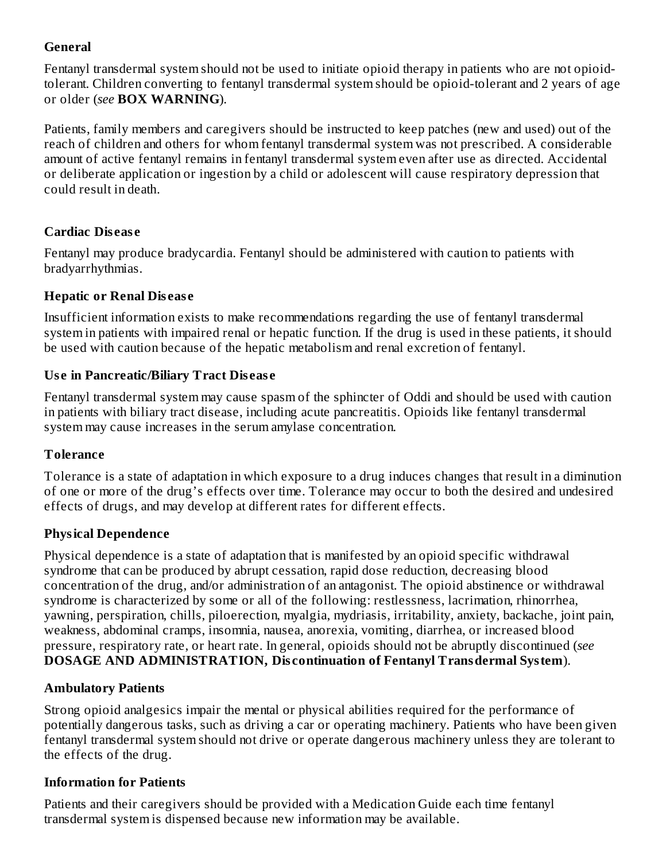## **General**

Fentanyl transdermal system should not be used to initiate opioid therapy in patients who are not opioidtolerant. Children converting to fentanyl transdermal system should be opioid-tolerant and 2 years of age or older (*see* **BOX WARNING**).

Patients, family members and caregivers should be instructed to keep patches (new and used) out of the reach of children and others for whom fentanyl transdermal system was not prescribed. A considerable amount of active fentanyl remains in fentanyl transdermal system even after use as directed. Accidental or deliberate application or ingestion by a child or adolescent will cause respiratory depression that could result in death.

## **Cardiac Dis eas e**

Fentanyl may produce bradycardia. Fentanyl should be administered with caution to patients with bradyarrhythmias.

## **Hepatic or Renal Dis eas e**

Insufficient information exists to make recommendations regarding the use of fentanyl transdermal system in patients with impaired renal or hepatic function. If the drug is used in these patients, it should be used with caution because of the hepatic metabolism and renal excretion of fentanyl.

## **Us e in Pancreatic/Biliary Tract Dis eas e**

Fentanyl transdermal system may cause spasm of the sphincter of Oddi and should be used with caution in patients with biliary tract disease, including acute pancreatitis. Opioids like fentanyl transdermal system may cause increases in the serum amylase concentration.

# **Tolerance**

Tolerance is a state of adaptation in which exposure to a drug induces changes that result in a diminution of one or more of the drug's effects over time. Tolerance may occur to both the desired and undesired effects of drugs, and may develop at different rates for different effects.

# **Physical Dependence**

Physical dependence is a state of adaptation that is manifested by an opioid specific withdrawal syndrome that can be produced by abrupt cessation, rapid dose reduction, decreasing blood concentration of the drug, and/or administration of an antagonist. The opioid abstinence or withdrawal syndrome is characterized by some or all of the following: restlessness, lacrimation, rhinorrhea, yawning, perspiration, chills, piloerection, myalgia, mydriasis, irritability, anxiety, backache, joint pain, weakness, abdominal cramps, insomnia, nausea, anorexia, vomiting, diarrhea, or increased blood pressure, respiratory rate, or heart rate. In general, opioids should not be abruptly discontinued (*see* **DOSAGE AND ADMINISTRATION, Dis continuation of Fentanyl Transdermal System**).

## **Ambulatory Patients**

Strong opioid analgesics impair the mental or physical abilities required for the performance of potentially dangerous tasks, such as driving a car or operating machinery. Patients who have been given fentanyl transdermal system should not drive or operate dangerous machinery unless they are tolerant to the effects of the drug.

## **Information for Patients**

Patients and their caregivers should be provided with a Medication Guide each time fentanyl transdermal system is dispensed because new information may be available.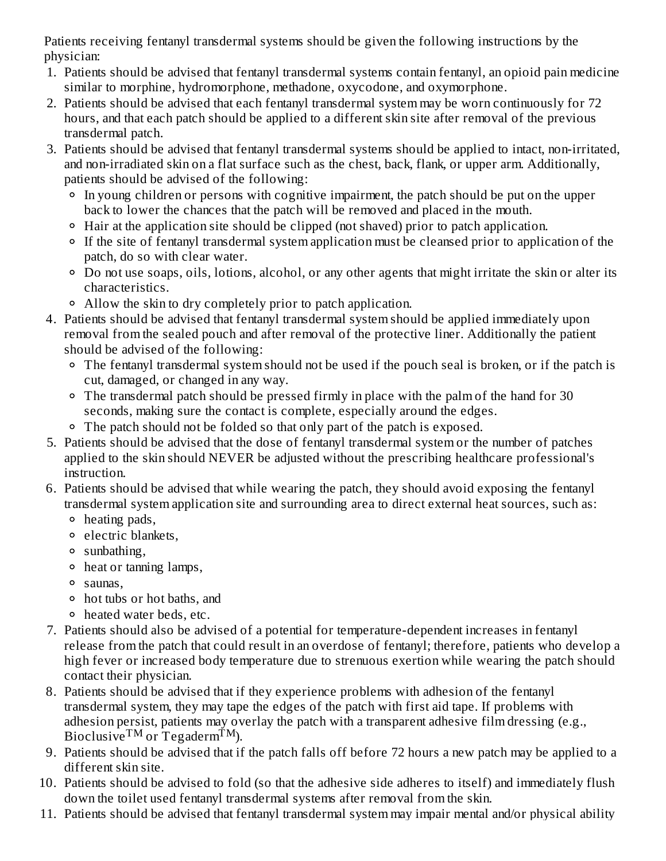Patients receiving fentanyl transdermal systems should be given the following instructions by the physician:

- 1. Patients should be advised that fentanyl transdermal systems contain fentanyl, an opioid pain medicine similar to morphine, hydromorphone, methadone, oxycodone, and oxymorphone.
- 2. Patients should be advised that each fentanyl transdermal system may be worn continuously for 72 hours, and that each patch should be applied to a different skin site after removal of the previous transdermal patch.
- 3. Patients should be advised that fentanyl transdermal systems should be applied to intact, non-irritated, and non-irradiated skin on a flat surface such as the chest, back, flank, or upper arm. Additionally, patients should be advised of the following:
	- In young children or persons with cognitive impairment, the patch should be put on the upper back to lower the chances that the patch will be removed and placed in the mouth.
	- Hair at the application site should be clipped (not shaved) prior to patch application.
	- If the site of fentanyl transdermal system application must be cleansed prior to application of the patch, do so with clear water.
	- Do not use soaps, oils, lotions, alcohol, or any other agents that might irritate the skin or alter its characteristics.
	- Allow the skin to dry completely prior to patch application.
- 4. Patients should be advised that fentanyl transdermal system should be applied immediately upon removal from the sealed pouch and after removal of the protective liner. Additionally the patient should be advised of the following:
	- The fentanyl transdermal system should not be used if the pouch seal is broken, or if the patch is cut, damaged, or changed in any way.
	- The transdermal patch should be pressed firmly in place with the palm of the hand for 30 seconds, making sure the contact is complete, especially around the edges.
	- The patch should not be folded so that only part of the patch is exposed.
- 5. Patients should be advised that the dose of fentanyl transdermal system or the number of patches applied to the skin should NEVER be adjusted without the prescribing healthcare professional's instruction.
- 6. Patients should be advised that while wearing the patch, they should avoid exposing the fentanyl transdermal system application site and surrounding area to direct external heat sources, such as:
	- heating pads,
	- electric blankets,
	- sunbathing,
	- heat or tanning lamps,
	- saunas,
	- hot tubs or hot baths, and
	- heated water beds, etc.
- 7. Patients should also be advised of a potential for temperature-dependent increases in fentanyl release from the patch that could result in an overdose of fentanyl; therefore, patients who develop a high fever or increased body temperature due to strenuous exertion while wearing the patch should contact their physician.
- 8. Patients should be advised that if they experience problems with adhesion of the fentanyl transdermal system, they may tape the edges of the patch with first aid tape. If problems with adhesion persist, patients may overlay the patch with a transparent adhesive film dressing (e.g., Bioclusive  $^{TM}$  or Tegaderm $^{\tilde{T}M}$ ).
- 9. Patients should be advised that if the patch falls off before 72 hours a new patch may be applied to a different skin site.
- 10. Patients should be advised to fold (so that the adhesive side adheres to itself) and immediately flush down the toilet used fentanyl transdermal systems after removal from the skin.
- 11. Patients should be advised that fentanyl transdermal system may impair mental and/or physical ability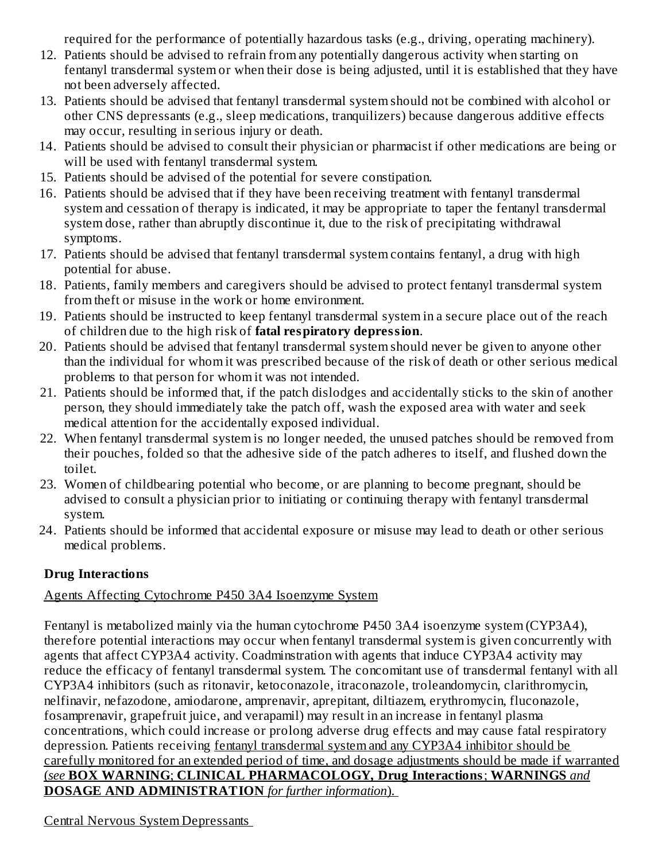required for the performance of potentially hazardous tasks (e.g., driving, operating machinery).

- 12. Patients should be advised to refrain from any potentially dangerous activity when starting on fentanyl transdermal system or when their dose is being adjusted, until it is established that they have not been adversely affected.
- 13. Patients should be advised that fentanyl transdermal system should not be combined with alcohol or other CNS depressants (e.g., sleep medications, tranquilizers) because dangerous additive effects may occur, resulting in serious injury or death.
- 14. Patients should be advised to consult their physician or pharmacist if other medications are being or will be used with fentanyl transdermal system.
- 15. Patients should be advised of the potential for severe constipation.
- 16. Patients should be advised that if they have been receiving treatment with fentanyl transdermal system and cessation of therapy is indicated, it may be appropriate to taper the fentanyl transdermal system dose, rather than abruptly discontinue it, due to the risk of precipitating withdrawal symptoms.
- 17. Patients should be advised that fentanyl transdermal system contains fentanyl, a drug with high potential for abuse.
- 18. Patients, family members and caregivers should be advised to protect fentanyl transdermal system from theft or misuse in the work or home environment.
- 19. Patients should be instructed to keep fentanyl transdermal system in a secure place out of the reach of children due to the high risk of **fatal respiratory depression**.
- 20. Patients should be advised that fentanyl transdermal system should never be given to anyone other than the individual for whom it was prescribed because of the risk of death or other serious medical problems to that person for whom it was not intended.
- 21. Patients should be informed that, if the patch dislodges and accidentally sticks to the skin of another person, they should immediately take the patch off, wash the exposed area with water and seek medical attention for the accidentally exposed individual.
- 22. When fentanyl transdermal system is no longer needed, the unused patches should be removed from their pouches, folded so that the adhesive side of the patch adheres to itself, and flushed down the toilet.
- 23. Women of childbearing potential who become, or are planning to become pregnant, should be advised to consult a physician prior to initiating or continuing therapy with fentanyl transdermal system.
- 24. Patients should be informed that accidental exposure or misuse may lead to death or other serious medical problems.

# **Drug Interactions**

# Agents Affecting Cytochrome P450 3A4 Isoenzyme System

Fentanyl is metabolized mainly via the human cytochrome P450 3A4 isoenzyme system (CYP3A4), therefore potential interactions may occur when fentanyl transdermal system is given concurrently with agents that affect CYP3A4 activity. Coadminstration with agents that induce CYP3A4 activity may reduce the efficacy of fentanyl transdermal system. The concomitant use of transdermal fentanyl with all CYP3A4 inhibitors (such as ritonavir, ketoconazole, itraconazole, troleandomycin, clarithromycin, nelfinavir, nefazodone, amiodarone, amprenavir, aprepitant, diltiazem, erythromycin, fluconazole, fosamprenavir, grapefruit juice, and verapamil) may result in an increase in fentanyl plasma concentrations, which could increase or prolong adverse drug effects and may cause fatal respiratory depression. Patients receiving fentanyl transdermal system and any CYP3A4 inhibitor should be carefully monitored for an extended period of time, and dosage adjustments should be made if warranted (*see* **BOX WARNING**; **CLINICAL PHARMACOLOGY, Drug Interactions**; **WARNINGS** *and* **DOSAGE AND ADMINISTRATION** *for further information*).

Central Nervous System Depressants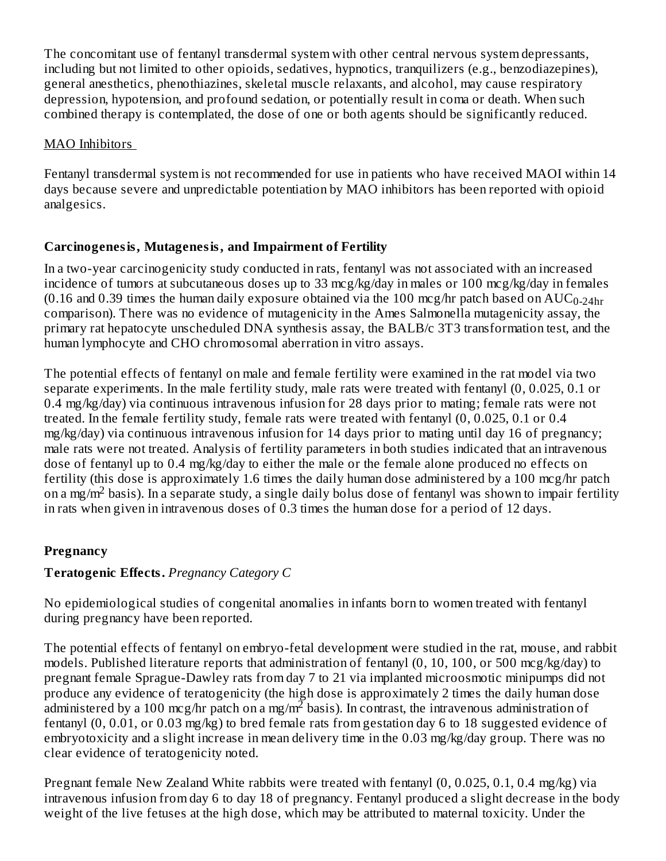The concomitant use of fentanyl transdermal system with other central nervous system depressants, including but not limited to other opioids, sedatives, hypnotics, tranquilizers (e.g., benzodiazepines), general anesthetics, phenothiazines, skeletal muscle relaxants, and alcohol, may cause respiratory depression, hypotension, and profound sedation, or potentially result in coma or death. When such combined therapy is contemplated, the dose of one or both agents should be significantly reduced.

### MAO Inhibitors

Fentanyl transdermal system is not recommended for use in patients who have received MAOI within 14 days because severe and unpredictable potentiation by MAO inhibitors has been reported with opioid analgesics.

## **Carcinogenesis, Mutagenesis, and Impairment of Fertility**

In a two-year carcinogenicity study conducted in rats, fentanyl was not associated with an increased incidence of tumors at subcutaneous doses up to 33 mcg/kg/day in males or 100 mcg/kg/day in females (0.16 and 0.39 times the human daily exposure obtained via the 100 mcg/hr patch based on  $\rm AUC_{0\text{-}24hr}$ comparison). There was no evidence of mutagenicity in the Ames Salmonella mutagenicity assay, the primary rat hepatocyte unscheduled DNA synthesis assay, the BALB/c 3T3 transformation test, and the human lymphocyte and CHO chromosomal aberration in vitro assays.

The potential effects of fentanyl on male and female fertility were examined in the rat model via two separate experiments. In the male fertility study, male rats were treated with fentanyl (0, 0.025, 0.1 or 0.4 mg/kg/day) via continuous intravenous infusion for 28 days prior to mating; female rats were not treated. In the female fertility study, female rats were treated with fentanyl (0, 0.025, 0.1 or 0.4 mg/kg/day) via continuous intravenous infusion for 14 days prior to mating until day 16 of pregnancy; male rats were not treated. Analysis of fertility parameters in both studies indicated that an intravenous dose of fentanyl up to 0.4 mg/kg/day to either the male or the female alone produced no effects on fertility (this dose is approximately 1.6 times the daily human dose administered by a 100 mcg/hr patch on a mg/m<sup>2</sup> basis). In a separate study, a single daily bolus dose of fentanyl was shown to impair fertility in rats when given in intravenous doses of 0.3 times the human dose for a period of 12 days.

# **Pregnancy**

# **Teratogenic Effects.** *Pregnancy Category C*

No epidemiological studies of congenital anomalies in infants born to women treated with fentanyl during pregnancy have been reported.

The potential effects of fentanyl on embryo-fetal development were studied in the rat, mouse, and rabbit models. Published literature reports that administration of fentanyl (0, 10, 100, or 500 mcg/kg/day) to pregnant female Sprague-Dawley rats from day 7 to 21 via implanted microosmotic minipumps did not produce any evidence of teratogenicity (the high dose is approximately 2 times the daily human dose administered by a 100 mcg/hr patch on a mg/m<sup>2</sup> basis). In contrast, the intravenous administration of fentanyl (0, 0.01, or 0.03 mg/kg) to bred female rats from gestation day 6 to 18 suggested evidence of embryotoxicity and a slight increase in mean delivery time in the 0.03 mg/kg/day group. There was no clear evidence of teratogenicity noted.

Pregnant female New Zealand White rabbits were treated with fentanyl (0, 0.025, 0.1, 0.4 mg/kg) via intravenous infusion from day 6 to day 18 of pregnancy. Fentanyl produced a slight decrease in the body weight of the live fetuses at the high dose, which may be attributed to maternal toxicity. Under the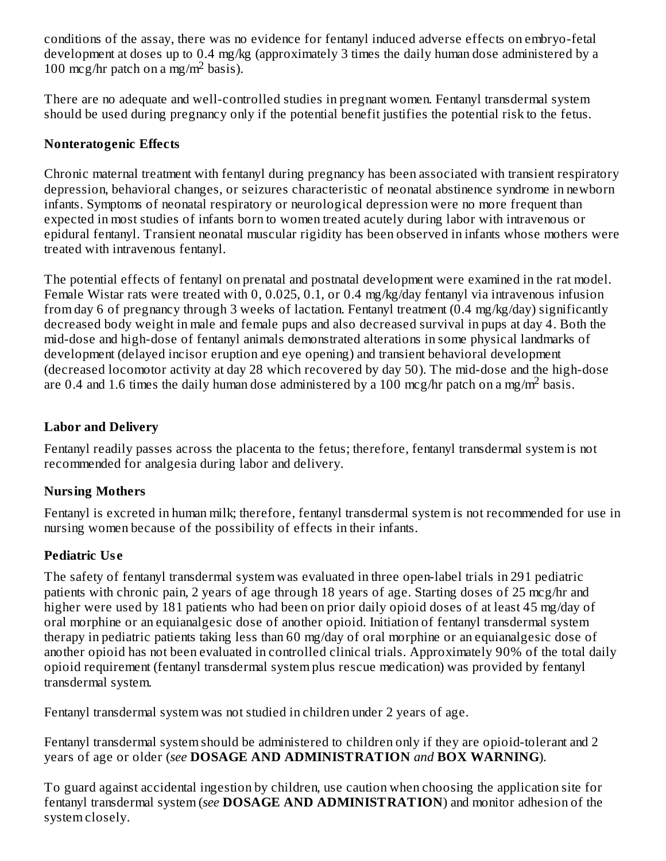conditions of the assay, there was no evidence for fentanyl induced adverse effects on embryo-fetal development at doses up to 0.4 mg/kg (approximately 3 times the daily human dose administered by a 100 mcg/hr patch on a mg/m<sup>2</sup> basis).

There are no adequate and well-controlled studies in pregnant women. Fentanyl transdermal system should be used during pregnancy only if the potential benefit justifies the potential risk to the fetus.

## **Nonteratogenic Effects**

Chronic maternal treatment with fentanyl during pregnancy has been associated with transient respiratory depression, behavioral changes, or seizures characteristic of neonatal abstinence syndrome in newborn infants. Symptoms of neonatal respiratory or neurological depression were no more frequent than expected in most studies of infants born to women treated acutely during labor with intravenous or epidural fentanyl. Transient neonatal muscular rigidity has been observed in infants whose mothers were treated with intravenous fentanyl.

The potential effects of fentanyl on prenatal and postnatal development were examined in the rat model. Female Wistar rats were treated with 0, 0.025, 0.1, or 0.4 mg/kg/day fentanyl via intravenous infusion from day 6 of pregnancy through 3 weeks of lactation. Fentanyl treatment (0.4 mg/kg/day) significantly decreased body weight in male and female pups and also decreased survival in pups at day 4. Both the mid-dose and high-dose of fentanyl animals demonstrated alterations in some physical landmarks of development (delayed incisor eruption and eye opening) and transient behavioral development (decreased locomotor activity at day 28 which recovered by day 50). The mid-dose and the high-dose are 0.4 and 1.6 times the daily human dose administered by a 100 mcg/hr patch on a mg/m<sup>2</sup> basis.

# **Labor and Delivery**

Fentanyl readily passes across the placenta to the fetus; therefore, fentanyl transdermal system is not recommended for analgesia during labor and delivery.

# **Nursing Mothers**

Fentanyl is excreted in human milk; therefore, fentanyl transdermal system is not recommended for use in nursing women because of the possibility of effects in their infants.

# **Pediatric Us e**

The safety of fentanyl transdermal system was evaluated in three open-label trials in 291 pediatric patients with chronic pain, 2 years of age through 18 years of age. Starting doses of 25 mcg/hr and higher were used by 181 patients who had been on prior daily opioid doses of at least 45 mg/day of oral morphine or an equianalgesic dose of another opioid. Initiation of fentanyl transdermal system therapy in pediatric patients taking less than 60 mg/day of oral morphine or an equianalgesic dose of another opioid has not been evaluated in controlled clinical trials. Approximately 90% of the total daily opioid requirement (fentanyl transdermal system plus rescue medication) was provided by fentanyl transdermal system.

Fentanyl transdermal system was not studied in children under 2 years of age.

Fentanyl transdermal system should be administered to children only if they are opioid-tolerant and 2 years of age or older (*see* **DOSAGE AND ADMINISTRATION** *and* **BOX WARNING**).

To guard against accidental ingestion by children, use caution when choosing the application site for fentanyl transdermal system (*see* **DOSAGE AND ADMINISTRATION**) and monitor adhesion of the system closely.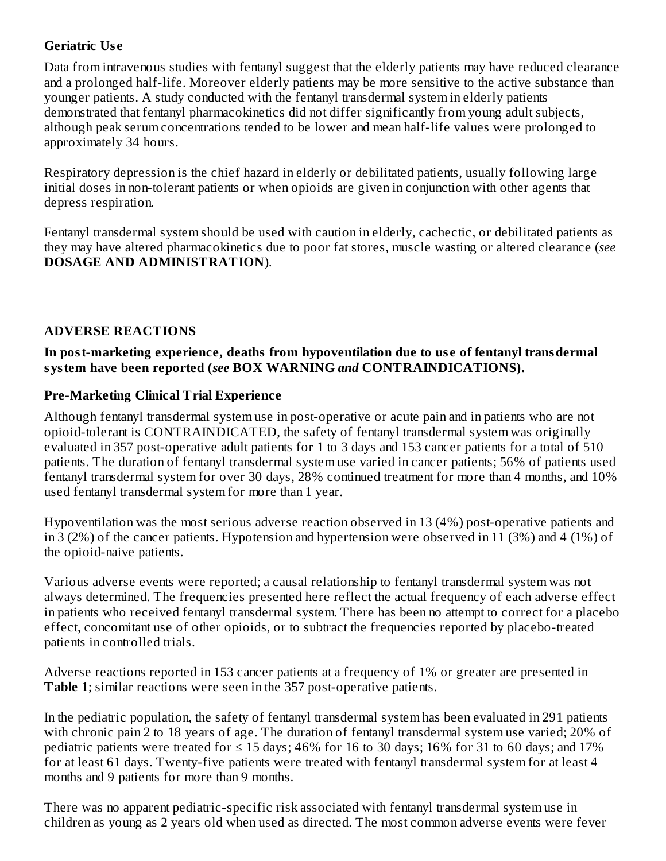## **Geriatric Us e**

Data from intravenous studies with fentanyl suggest that the elderly patients may have reduced clearance and a prolonged half-life. Moreover elderly patients may be more sensitive to the active substance than younger patients. A study conducted with the fentanyl transdermal system in elderly patients demonstrated that fentanyl pharmacokinetics did not differ significantly from young adult subjects, although peak serum concentrations tended to be lower and mean half-life values were prolonged to approximately 34 hours.

Respiratory depression is the chief hazard in elderly or debilitated patients, usually following large initial doses in non-tolerant patients or when opioids are given in conjunction with other agents that depress respiration.

Fentanyl transdermal system should be used with caution in elderly, cachectic, or debilitated patients as they may have altered pharmacokinetics due to poor fat stores, muscle wasting or altered clearance (*see* **DOSAGE AND ADMINISTRATION**).

## **ADVERSE REACTIONS**

### **In post-marketing experience, deaths from hypoventilation due to us e of fentanyl transdermal system have been reported (***see* **BOX WARNING** *and* **CONTRAINDICATIONS).**

## **Pre-Marketing Clinical Trial Experience**

Although fentanyl transdermal system use in post-operative or acute pain and in patients who are not opioid-tolerant is CONTRAINDICATED, the safety of fentanyl transdermal system was originally evaluated in 357 post-operative adult patients for 1 to 3 days and 153 cancer patients for a total of 510 patients. The duration of fentanyl transdermal system use varied in cancer patients; 56% of patients used fentanyl transdermal system for over 30 days, 28% continued treatment for more than 4 months, and 10% used fentanyl transdermal system for more than 1 year.

Hypoventilation was the most serious adverse reaction observed in 13 (4%) post-operative patients and in 3 (2%) of the cancer patients. Hypotension and hypertension were observed in 11 (3%) and 4 (1%) of the opioid-naive patients.

Various adverse events were reported; a causal relationship to fentanyl transdermal system was not always determined. The frequencies presented here reflect the actual frequency of each adverse effect in patients who received fentanyl transdermal system. There has been no attempt to correct for a placebo effect, concomitant use of other opioids, or to subtract the frequencies reported by placebo-treated patients in controlled trials.

Adverse reactions reported in 153 cancer patients at a frequency of 1% or greater are presented in **Table 1**; similar reactions were seen in the 357 post-operative patients.

In the pediatric population, the safety of fentanyl transdermal system has been evaluated in 291 patients with chronic pain 2 to 18 years of age. The duration of fentanyl transdermal system use varied; 20% of pediatric patients were treated for  $\leq 15$  days; 46% for 16 to 30 days; 16% for 31 to 60 days; and 17% for at least 61 days. Twenty-five patients were treated with fentanyl transdermal system for at least 4 months and 9 patients for more than 9 months.

There was no apparent pediatric-specific risk associated with fentanyl transdermal system use in children as young as 2 years old when used as directed. The most common adverse events were fever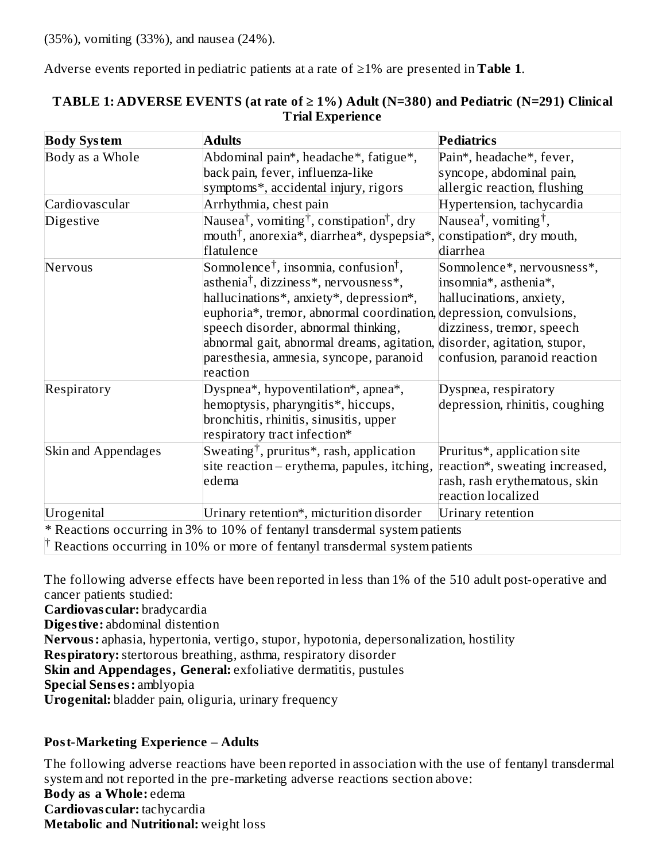Adverse events reported in pediatric patients at a rate of ≥1% are presented in **Table 1**.

| <b>Body System</b>                                                                   | <b>Adults</b>                                                                                                                                                                                                                                                                                                                                                                                               | <b>Pediatrics</b>                                                                                                                            |  |  |  |  |  |
|--------------------------------------------------------------------------------------|-------------------------------------------------------------------------------------------------------------------------------------------------------------------------------------------------------------------------------------------------------------------------------------------------------------------------------------------------------------------------------------------------------------|----------------------------------------------------------------------------------------------------------------------------------------------|--|--|--|--|--|
| Body as a Whole                                                                      | Abdominal pain*, headache*, fatigue*,<br>back pain, fever, influenza-like                                                                                                                                                                                                                                                                                                                                   | Pain*, headache*, fever,<br>syncope, abdominal pain,                                                                                         |  |  |  |  |  |
|                                                                                      | symptoms*, accidental injury, rigors                                                                                                                                                                                                                                                                                                                                                                        | allergic reaction, flushing                                                                                                                  |  |  |  |  |  |
| Cardiovascular                                                                       | Arrhythmia, chest pain                                                                                                                                                                                                                                                                                                                                                                                      | Hypertension, tachycardia                                                                                                                    |  |  |  |  |  |
| Digestive                                                                            | Nausea <sup>†</sup> , vomiting <sup>†</sup> , constipation <sup>†</sup> , dry                                                                                                                                                                                                                                                                                                                               | Nausea <sup>†</sup> , vomiting <sup>†</sup> ,                                                                                                |  |  |  |  |  |
|                                                                                      | mouth <sup>†</sup> , anorexia*, diarrhea*, dyspepsia*, constipation*, dry mouth,<br>flatulence                                                                                                                                                                                                                                                                                                              | diarrhea                                                                                                                                     |  |  |  |  |  |
| Nervous                                                                              | Sommolence <sup>†</sup> , insomnia, confusion <sup>†</sup> ,<br>asthenia <sup>†</sup> , dizziness*, nervousness*,<br>hallucinations*, anxiety*, depression*,<br>euphoria*, tremor, abnormal coordination, depression, convulsions,<br>speech disorder, abnormal thinking,<br>abnormal gait, abnormal dreams, agitation, disorder, agitation, stupor,<br>paresthesia, amnesia, syncope, paranoid<br>reaction | Somnolence*, nervousness*,<br>insomnia*, asthenia*,<br>hallucinations, anxiety,<br>dizziness, tremor, speech<br>confusion, paranoid reaction |  |  |  |  |  |
| Respiratory                                                                          | Dyspnea*, hypoventilation*, apnea*,<br>hemoptysis, pharyngitis*, hiccups,<br>bronchitis, rhinitis, sinusitis, upper<br>respiratory tract infection*                                                                                                                                                                                                                                                         | Dyspnea, respiratory<br>depression, rhinitis, coughing                                                                                       |  |  |  |  |  |
| Skin and Appendages                                                                  | Sweating <sup>†</sup> , pruritus <sup>*</sup> , rash, application<br>site reaction – erythema, papules, itching, reaction*, sweating increased,<br>edema                                                                                                                                                                                                                                                    | Pruritus*, application site<br>rash, rash erythematous, skin<br>reaction localized                                                           |  |  |  |  |  |
| Urogenital                                                                           | Urinary retention*, micturition disorder                                                                                                                                                                                                                                                                                                                                                                    | Urinary retention                                                                                                                            |  |  |  |  |  |
|                                                                                      | * Reactions occurring in 3% to 10% of fentanyl transdermal system patients                                                                                                                                                                                                                                                                                                                                  |                                                                                                                                              |  |  |  |  |  |
| $\dagger$ Reactions occurring in 10% or more of fentanyl transdermal system patients |                                                                                                                                                                                                                                                                                                                                                                                                             |                                                                                                                                              |  |  |  |  |  |

## **TABLE 1: ADVERSE EVENTS (at rate of ≥ 1%) Adult (N=380) and Pediatric (N=291) Clinical Trial Experience**

The following adverse effects have been reported in less than 1% of the 510 adult post-operative and cancer patients studied:

**Cardiovas cular:** bradycardia

**Digestive:** abdominal distention

**Nervous:** aphasia, hypertonia, vertigo, stupor, hypotonia, depersonalization, hostility

**Respiratory:**stertorous breathing, asthma, respiratory disorder

**Skin and Appendages, General:** exfoliative dermatitis, pustules

**Special Sens es:** amblyopia

**Urogenital:** bladder pain, oliguria, urinary frequency

# **Post-Marketing Experience – Adults**

The following adverse reactions have been reported in association with the use of fentanyl transdermal system and not reported in the pre-marketing adverse reactions section above: **Body as a Whole:** edema **Cardiovas cular:** tachycardia **Metabolic and Nutritional:** weight loss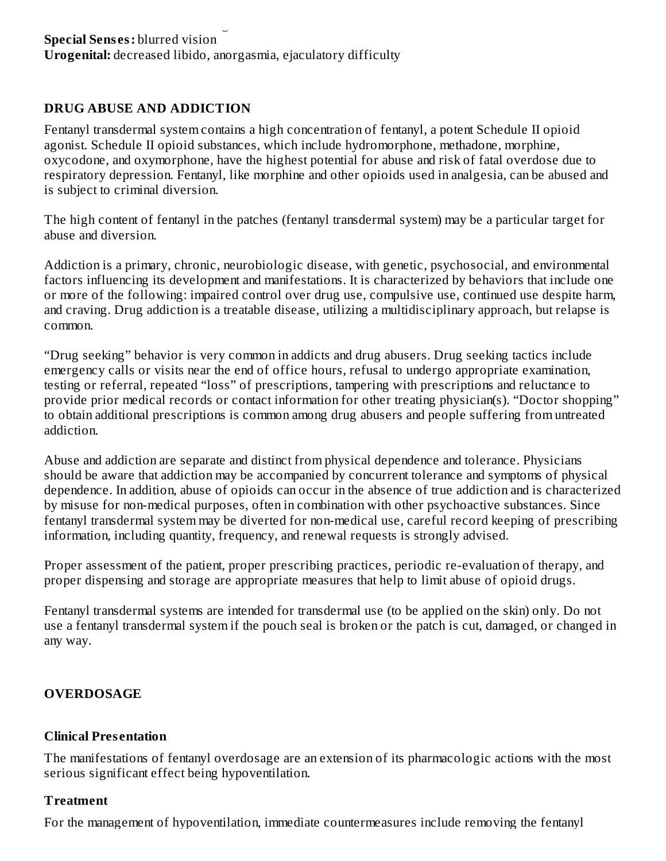## **DRUG ABUSE AND ADDICTION**

Fentanyl transdermal system contains a high concentration of fentanyl, a potent Schedule II opioid agonist. Schedule II opioid substances, which include hydromorphone, methadone, morphine, oxycodone, and oxymorphone, have the highest potential for abuse and risk of fatal overdose due to respiratory depression. Fentanyl, like morphine and other opioids used in analgesia, can be abused and is subject to criminal diversion.

The high content of fentanyl in the patches (fentanyl transdermal system) may be a particular target for abuse and diversion.

Addiction is a primary, chronic, neurobiologic disease, with genetic, psychosocial, and environmental factors influencing its development and manifestations. It is characterized by behaviors that include one or more of the following: impaired control over drug use, compulsive use, continued use despite harm, and craving. Drug addiction is a treatable disease, utilizing a multidisciplinary approach, but relapse is common.

"Drug seeking" behavior is very common in addicts and drug abusers. Drug seeking tactics include emergency calls or visits near the end of office hours, refusal to undergo appropriate examination, testing or referral, repeated "loss" of prescriptions, tampering with prescriptions and reluctance to provide prior medical records or contact information for other treating physician(s). "Doctor shopping" to obtain additional prescriptions is common among drug abusers and people suffering from untreated addiction.

Abuse and addiction are separate and distinct from physical dependence and tolerance. Physicians should be aware that addiction may be accompanied by concurrent tolerance and symptoms of physical dependence. In addition, abuse of opioids can occur in the absence of true addiction and is characterized by misuse for non-medical purposes, often in combination with other psychoactive substances. Since fentanyl transdermal system may be diverted for non-medical use, careful record keeping of prescribing information, including quantity, frequency, and renewal requests is strongly advised.

Proper assessment of the patient, proper prescribing practices, periodic re-evaluation of therapy, and proper dispensing and storage are appropriate measures that help to limit abuse of opioid drugs.

Fentanyl transdermal systems are intended for transdermal use (to be applied on the skin) only. Do not use a fentanyl transdermal system if the pouch seal is broken or the patch is cut, damaged, or changed in any way.

## **OVERDOSAGE**

#### **Clinical Pres entation**

The manifestations of fentanyl overdosage are an extension of its pharmacologic actions with the most serious significant effect being hypoventilation.

#### **Treatment**

For the management of hypoventilation, immediate countermeasures include removing the fentanyl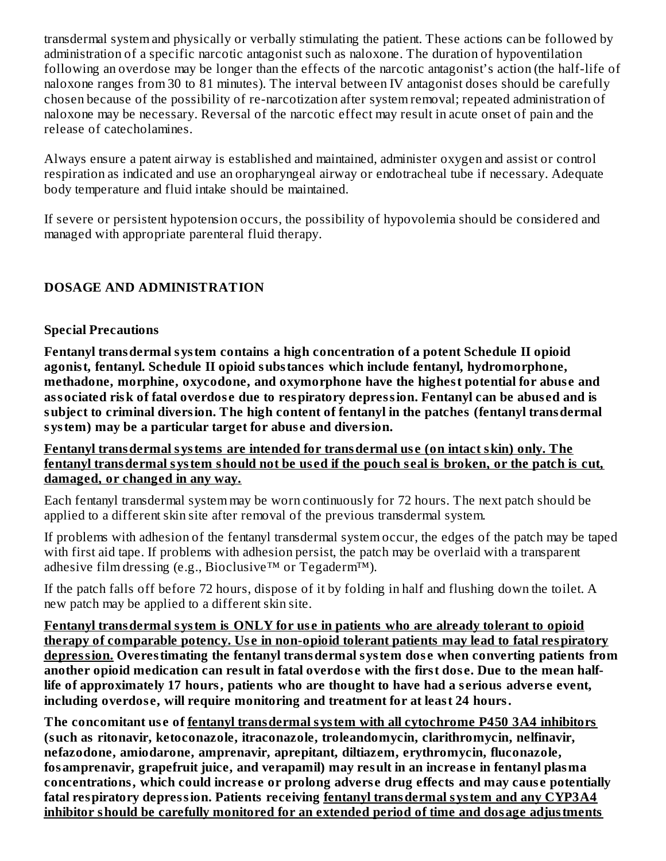transdermal system and physically or verbally stimulating the patient. These actions can be followed by administration of a specific narcotic antagonist such as naloxone. The duration of hypoventilation following an overdose may be longer than the effects of the narcotic antagonist's action (the half-life of naloxone ranges from 30 to 81 minutes). The interval between IV antagonist doses should be carefully chosen because of the possibility of re-narcotization after system removal; repeated administration of naloxone may be necessary. Reversal of the narcotic effect may result in acute onset of pain and the release of catecholamines.

Always ensure a patent airway is established and maintained, administer oxygen and assist or control respiration as indicated and use an oropharyngeal airway or endotracheal tube if necessary. Adequate body temperature and fluid intake should be maintained.

If severe or persistent hypotension occurs, the possibility of hypovolemia should be considered and managed with appropriate parenteral fluid therapy.

# **DOSAGE AND ADMINISTRATION**

## **Special Precautions**

**Fentanyl transdermal system contains a high concentration of a potent Schedule II opioid agonist, fentanyl. Schedule II opioid substances which include fentanyl, hydromorphone, methadone, morphine, oxycodone, and oxymorphone have the highest potential for abus e and associated risk of fatal overdos e due to respiratory depression. Fentanyl can be abus ed and is subject to criminal diversion. The high content of fentanyl in the patches (fentanyl transdermal system) may be a particular target for abus e and diversion.**

**Fentanyl transdermal systems are intended for transdermal us e (on intact skin) only. The** fentanyl transdermal system should not be used if the pouch seal is broken, or the patch is cut, **damaged, or changed in any way.**

Each fentanyl transdermal system may be worn continuously for 72 hours. The next patch should be applied to a different skin site after removal of the previous transdermal system.

If problems with adhesion of the fentanyl transdermal system occur, the edges of the patch may be taped with first aid tape. If problems with adhesion persist, the patch may be overlaid with a transparent adhesive film dressing (e.g., Bioclusive™ or Tegaderm™).

If the patch falls off before 72 hours, dispose of it by folding in half and flushing down the toilet. A new patch may be applied to a different skin site.

**Fentanyl transdermal system is ONLY for us e in patients who are already tolerant to opioid therapy of comparable potency. Us e in non-opioid tolerant patients may lead to fatal respiratory depression. Overestimating the fentanyl transdermal system dos e when converting patients from** another opioid medication can result in fatal overdose with the first dose. Due to the mean half**life of approximately 17 hours, patients who are thought to have had a s erious advers e event, including overdos e, will require monitoring and treatment for at least 24 hours.**

**The concomitant us e of fentanyl transdermal system with all cytochrome P450 3A4 inhibitors (such as ritonavir, ketoconazole, itraconazole, troleandomycin, clarithromycin, nelfinavir, nefazodone, amiodarone, amprenavir, aprepitant, diltiazem, erythromycin, fluconazole, fosamprenavir, grapefruit juice, and verapamil) may result in an increas e in fentanyl plasma concentrations, which could increas e or prolong advers e drug effects and may caus e potentially fatal respiratory depression. Patients receiving fentanyl transdermal system and any CYP3A4 inhibitor should be carefully monitored for an extended period of time and dosage adjustments**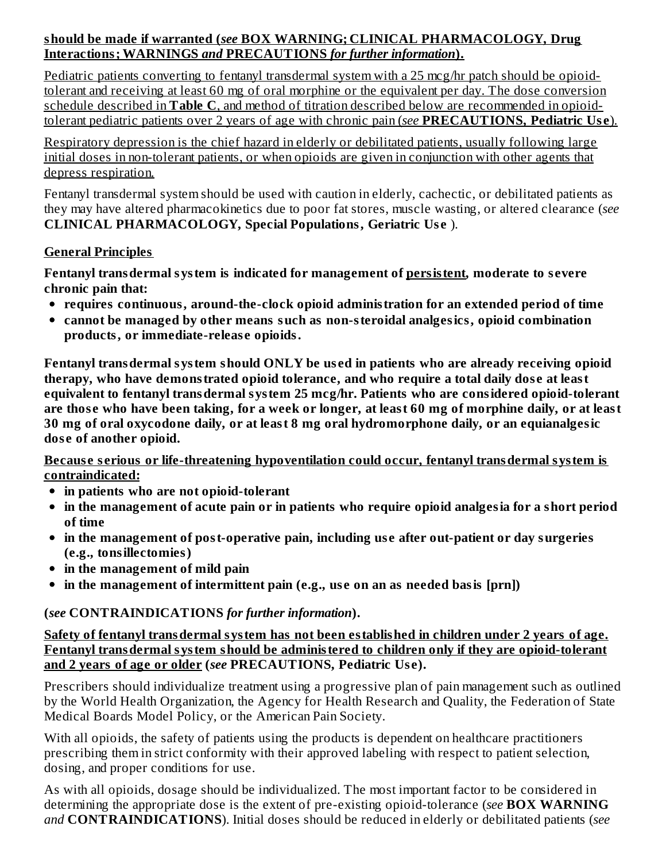## **should be made if warranted (***see* **BOX WARNING; CLINICAL PHARMACOLOGY, Drug Interactions; WARNINGS** *and* **PRECAUTIONS** *for further information***).**

Pediatric patients converting to fentanyl transdermal system with a 25 mcg/hr patch should be opioidtolerant and receiving at least 60 mg of oral morphine or the equivalent per day. The dose conversion schedule described in **Table C**, and method of titration described below are recommended in opioidtolerant pediatric patients over 2 years of age with chronic pain (*see* **PRECAUTIONS, Pediatric Us e**).

Respiratory depression is the chief hazard in elderly or debilitated patients, usually following large initial doses in non-tolerant patients, or when opioids are given in conjunction with other agents that depress respiration.

Fentanyl transdermal system should be used with caution in elderly, cachectic, or debilitated patients as they may have altered pharmacokinetics due to poor fat stores, muscle wasting, or altered clearance (*see* **CLINICAL PHARMACOLOGY, Special Populations, Geriatric Us e** ).

## **General Principles**

**Fentanyl transdermal system is indicated for management of persistent, moderate to s evere chronic pain that:**

- **requires continuous, around-the-clock opioid administration for an extended period of time**
- **cannot be managed by other means such as non-steroidal analgesics, opioid combination products, or immediate-releas e opioids.**

**Fentanyl transdermal system should ONLY be us ed in patients who are already receiving opioid therapy, who have demonstrated opioid tolerance, and who require a total daily dos e at least equivalent to fentanyl transdermal system 25 mcg/hr. Patients who are considered opioid-tolerant** are those who have been taking, for a week or longer, at least 60 mg of morphine daily, or at least **30 mg of oral oxycodone daily, or at least 8 mg oral hydromorphone daily, or an equianalgesic dos e of another opioid.**

**Becaus e s erious or life-threatening hypoventilation could occur, fentanyl transdermal system is contraindicated:**

- **in patients who are not opioid-tolerant**
- **in the management of acute pain or in patients who require opioid analgesia for a short period of time**
- **in the management of post-operative pain, including us e after out-patient or day surgeries (e.g., tonsillectomies)**
- **in the management of mild pain**
- **in the management of intermittent pain (e.g., us e on an as needed basis [prn])**

# **(***see* **CONTRAINDICATIONS** *for further information***).**

**Safety of fentanyl transdermal system has not been established in children under 2 years of age. Fentanyl transdermal system should be administered to children only if they are opioid-tolerant and 2 years of age or older (***see* **PRECAUTIONS, Pediatric Us e).**

Prescribers should individualize treatment using a progressive plan of pain management such as outlined by the World Health Organization, the Agency for Health Research and Quality, the Federation of State Medical Boards Model Policy, or the American Pain Society.

With all opioids, the safety of patients using the products is dependent on healthcare practitioners prescribing them in strict conformity with their approved labeling with respect to patient selection, dosing, and proper conditions for use.

As with all opioids, dosage should be individualized. The most important factor to be considered in determining the appropriate dose is the extent of pre-existing opioid-tolerance (*see* **BOX WARNING** *and* **CONTRAINDICATIONS**). Initial doses should be reduced in elderly or debilitated patients (*see*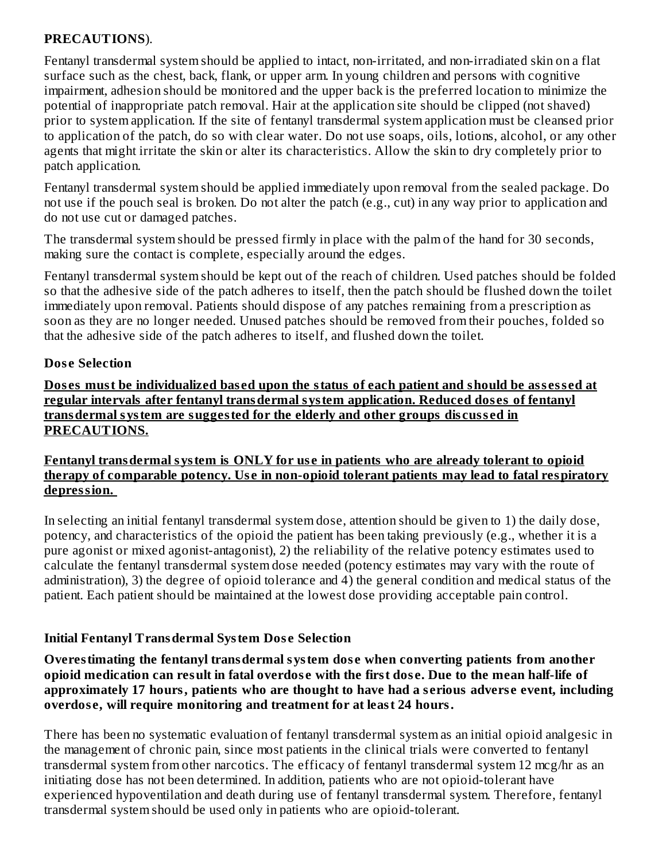## **PRECAUTIONS**).

Fentanyl transdermal system should be applied to intact, non-irritated, and non-irradiated skin on a flat surface such as the chest, back, flank, or upper arm. In young children and persons with cognitive impairment, adhesion should be monitored and the upper back is the preferred location to minimize the potential of inappropriate patch removal. Hair at the application site should be clipped (not shaved) prior to system application. If the site of fentanyl transdermal system application must be cleansed prior to application of the patch, do so with clear water. Do not use soaps, oils, lotions, alcohol, or any other agents that might irritate the skin or alter its characteristics. Allow the skin to dry completely prior to patch application.

Fentanyl transdermal system should be applied immediately upon removal from the sealed package. Do not use if the pouch seal is broken. Do not alter the patch (e.g., cut) in any way prior to application and do not use cut or damaged patches.

The transdermal system should be pressed firmly in place with the palm of the hand for 30 seconds, making sure the contact is complete, especially around the edges.

Fentanyl transdermal system should be kept out of the reach of children. Used patches should be folded so that the adhesive side of the patch adheres to itself, then the patch should be flushed down the toilet immediately upon removal. Patients should dispose of any patches remaining from a prescription as soon as they are no longer needed. Unused patches should be removed from their pouches, folded so that the adhesive side of the patch adheres to itself, and flushed down the toilet.

### **Dos e Selection**

Doses must be individualized based upon the status of each patient and should be assessed at **regular intervals after fentanyl transdermal system application. Reduced dos es of fentanyl transdermal system are suggested for the elderly and other groups dis cuss ed in PRECAUTIONS.**

### **Fentanyl transdermal system is ONLY for us e in patients who are already tolerant to opioid therapy of comparable potency. Us e in non-opioid tolerant patients may lead to fatal respiratory depression.**

In selecting an initial fentanyl transdermal system dose, attention should be given to 1) the daily dose, potency, and characteristics of the opioid the patient has been taking previously (e.g., whether it is a pure agonist or mixed agonist-antagonist), 2) the reliability of the relative potency estimates used to calculate the fentanyl transdermal system dose needed (potency estimates may vary with the route of administration), 3) the degree of opioid tolerance and 4) the general condition and medical status of the patient. Each patient should be maintained at the lowest dose providing acceptable pain control.

## **Initial Fentanyl Transdermal System Dos e Selection**

**Overestimating the fentanyl transdermal system dos e when converting patients from another** opioid medication can result in fatal overdose with the first dose. Due to the mean half-life of **approximately 17 hours, patients who are thought to have had a s erious advers e event, including overdos e, will require monitoring and treatment for at least 24 hours.**

There has been no systematic evaluation of fentanyl transdermal system as an initial opioid analgesic in the management of chronic pain, since most patients in the clinical trials were converted to fentanyl transdermal system from other narcotics. The efficacy of fentanyl transdermal system 12 mcg/hr as an initiating dose has not been determined. In addition, patients who are not opioid-tolerant have experienced hypoventilation and death during use of fentanyl transdermal system. Therefore, fentanyl transdermal system should be used only in patients who are opioid-tolerant.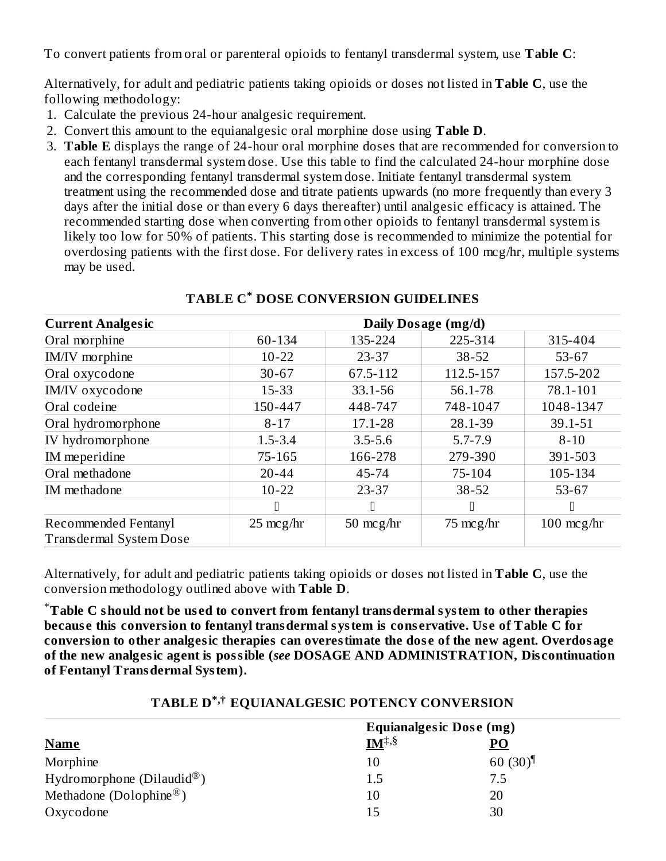To convert patients from oral or parenteral opioids to fentanyl transdermal system, use **Table C**:

Alternatively, for adult and pediatric patients taking opioids or doses not listed in **Table C**, use the following methodology:

- 1. Calculate the previous 24-hour analgesic requirement.
- 2. Convert this amount to the equianalgesic oral morphine dose using **Table D**.
- 3. **Table E** displays the range of 24-hour oral morphine doses that are recommended for conversion to each fentanyl transdermal system dose. Use this table to find the calculated 24-hour morphine dose and the corresponding fentanyl transdermal system dose. Initiate fentanyl transdermal system treatment using the recommended dose and titrate patients upwards (no more frequently than every 3 days after the initial dose or than every 6 days thereafter) until analgesic efficacy is attained. The recommended starting dose when converting from other opioids to fentanyl transdermal system is likely too low for 50% of patients. This starting dose is recommended to minimize the potential for overdosing patients with the first dose. For delivery rates in excess of 100 mcg/hr, multiple systems may be used.

| <b>Current Analgesic</b>       | Daily Dosage (mg/d) |             |                     |                      |
|--------------------------------|---------------------|-------------|---------------------|----------------------|
| Oral morphine                  | 60-134              | 135-224     | 225-314             | 315-404              |
| IM/IV morphine                 | $10 - 22$           | 23-37       | $38 - 52$           | 53-67                |
| Oral oxycodone                 | $30 - 67$           | 67.5-112    | 112.5-157           | 157.5-202            |
| IM/IV oxycodone                | 15-33               | 33.1-56     | 56.1-78             | 78.1-101             |
| Oral codeine                   | 150-447             | 448-747     | 748-1047            | 1048-1347            |
| Oral hydromorphone             | $8 - 17$            | 17.1-28     | 28.1-39             | 39.1-51              |
| IV hydromorphone               | $1.5 - 3.4$         | $3.5 - 5.6$ | $5.7 - 7.9$         | $8 - 10$             |
| IM meperidine                  | 75-165              | 166-278     | 279-390             | 391-503              |
| Oral methadone                 | $20 - 44$           | 45-74       | 75-104              | 105-134              |
| IM methadone                   | $10 - 22$           | 23-37       | $38 - 52$           | 53-67                |
|                                | 0                   | D           |                     | 0                    |
| Recommended Fentanyl           | $25 \text{ mcg/hr}$ | 50 $mcg/hr$ | $75 \text{ mcg/hr}$ | $100 \text{ mcg/hr}$ |
| <b>Transdermal System Dose</b> |                     |             |                     |                      |

### **TABLE C DOSE CONVERSION GUIDELINES \***

Alternatively, for adult and pediatric patients taking opioids or doses not listed in **Table C**, use the conversion methodology outlined above with **Table D**.

**Table C should not be us ed to convert from fentanyl transdermal system to other therapies** \* **becaus e this conversion to fentanyl transdermal system is cons ervative. Us e of Table C for conversion to other analgesic therapies can overestimate the dos e of the new agent. Overdosage of the new analgesic agent is possible (***see* **DOSAGE AND ADMINISTRATION, Dis continuation of Fentanyl Transdermal System).**

|                                          | <b>Equianalgesic Dose (mg)</b>            |                         |  |
|------------------------------------------|-------------------------------------------|-------------------------|--|
| <b>Name</b>                              | $\mathbf{I} \mathbf{M}^{\ddagger,\delta}$ | PO                      |  |
| Morphine                                 | 10                                        | 60 $(30)^{\frac{1}{2}}$ |  |
| Hydromorphone (Dilaudid $^{\circledR}$ ) | 1.5                                       | 7.5                     |  |
| Methadone (Dolophine <sup>®</sup> )      | 10                                        | 20                      |  |
| Oxycodone                                | 15                                        | 30                      |  |

## **TABLE D EQUIANALGESIC POTENCY CONVERSION \*,†**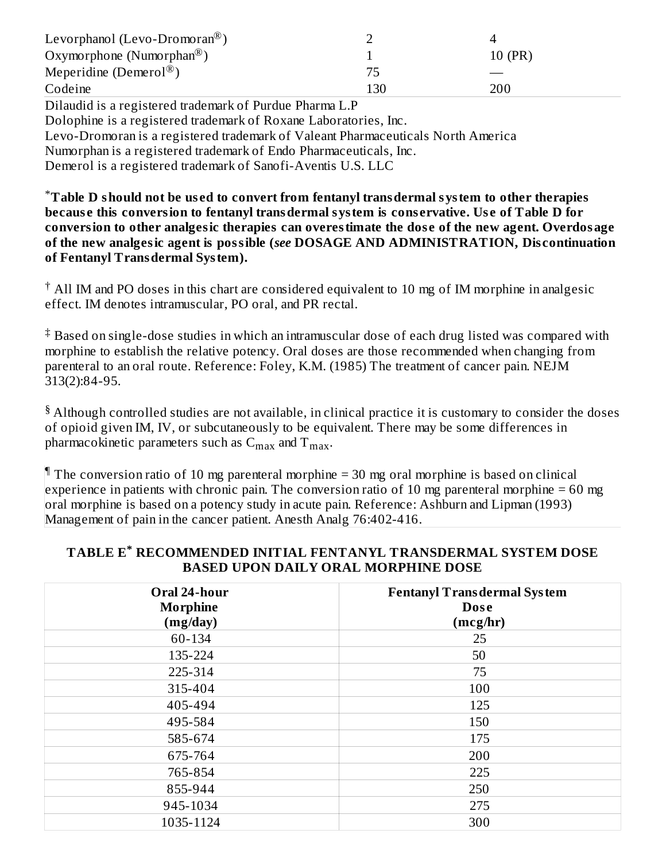| Levorphanol (Levo-Dromoran <sup>®</sup> ) |     |         |  |
|-------------------------------------------|-----|---------|--|
| Oxymorphone (Numorphan <sup>®</sup> )     |     | 10 (PR) |  |
| Meperidine (Demerol <sup>®</sup> )        | 75  |         |  |
| Codeine                                   | 130 | 200     |  |
|                                           |     |         |  |

Dilaudid is a registered trademark of Purdue Pharma L.P

Dolophine is a registered trademark of Roxane Laboratories, Inc.

Levo-Dromoran is a registered trademark of Valeant Pharmaceuticals North America

Numorphan is a registered trademark of Endo Pharmaceuticals, Inc.

Demerol is a registered trademark of Sanofi-Aventis U.S. LLC

**Table D should not be us ed to convert from fentanyl transdermal system to other therapies** \* **becaus e this conversion to fentanyl transdermal system is cons ervative. Us e of Table D for conversion to other analgesic therapies can overestimate the dos e of the new agent. Overdosage of the new analgesic agent is possible (***see* **DOSAGE AND ADMINISTRATION, Dis continuation of Fentanyl Transdermal System).**

 $\dagger$  All IM and PO doses in this chart are considered equivalent to 10 mg of IM morphine in analgesic effect. IM denotes intramuscular, PO oral, and PR rectal.

 $^\ddag$  Based on single-dose studies in which an intramuscular dose of each drug listed was compared with morphine to establish the relative potency. Oral doses are those recommended when changing from parenteral to an oral route. Reference: Foley, K.M. (1985) The treatment of cancer pain. NEJM 313(2):84-95.

 $§$  Although controlled studies are not available, in clinical practice it is customary to consider the doses of opioid given IM, IV, or subcutaneously to be equivalent. There may be some differences in pharmacokinetic parameters such as  $\mathsf{C}_{\max}$  and  $\mathsf{T}_{\max}.$ 

 $\P$  The conversion ratio of 10 mg parenteral morphine = 30 mg oral morphine is based on clinical experience in patients with chronic pain. The conversion ratio of 10 mg parenteral morphine = 60 mg oral morphine is based on a potency study in acute pain. Reference: Ashburn and Lipman (1993) Management of pain in the cancer patient. Anesth Analg 76:402-416.

### **TABLE E RECOMMENDED INITIAL FENTANYL TRANSDERMAL SYSTEM DOSE \*BASED UPON DAILY ORAL MORPHINE DOSE**

| Oral 24-hour<br><b>Morphine</b><br>(mg/day) | <b>Fentanyl Transdermal System</b><br><b>Dose</b><br>(mcg/hr) |
|---------------------------------------------|---------------------------------------------------------------|
| 60-134                                      | 25                                                            |
| 135-224                                     | 50                                                            |
| 225-314                                     | 75                                                            |
| 315-404                                     | 100                                                           |
| 405-494                                     | 125                                                           |
| 495-584                                     | 150                                                           |
| 585-674                                     | 175                                                           |
| 675-764                                     | 200                                                           |
| 765-854                                     | 225                                                           |
| 855-944                                     | 250                                                           |
| 945-1034                                    | 275                                                           |
| 1035-1124                                   | 300                                                           |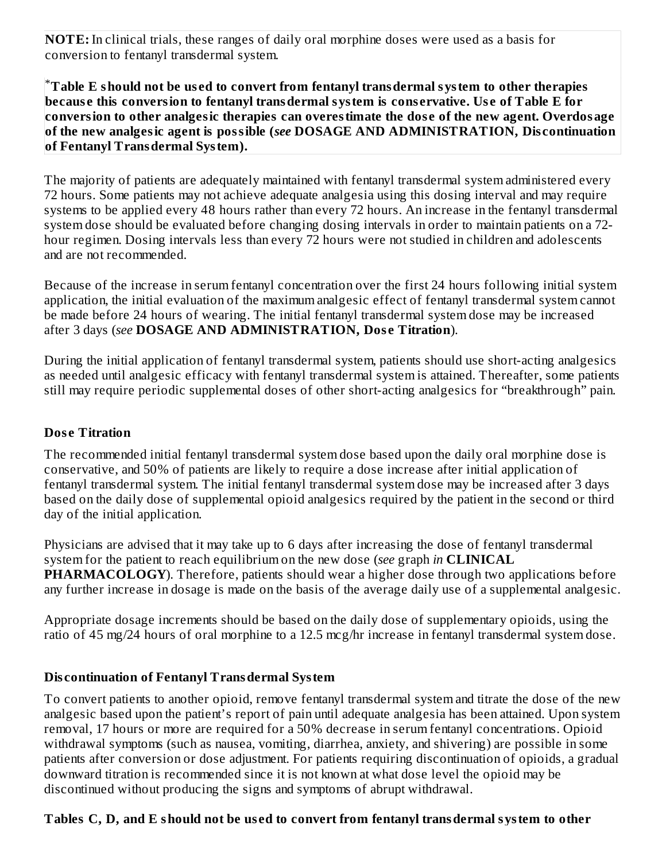**NOTE:** In clinical trials, these ranges of daily oral morphine doses were used as a basis for conversion to fentanyl transdermal system.

**Table E should not be us ed to convert from fentanyl transdermal system to other therapies** \***becaus e this conversion to fentanyl transdermal system is cons ervative. Us e of Table E for conversion to other analgesic therapies can overestimate the dos e of the new agent. Overdosage of the new analgesic agent is possible (***see* **DOSAGE AND ADMINISTRATION, Dis continuation of Fentanyl Transdermal System).**

The majority of patients are adequately maintained with fentanyl transdermal system administered every 72 hours. Some patients may not achieve adequate analgesia using this dosing interval and may require systems to be applied every 48 hours rather than every 72 hours. An increase in the fentanyl transdermal system dose should be evaluated before changing dosing intervals in order to maintain patients on a 72 hour regimen. Dosing intervals less than every 72 hours were not studied in children and adolescents and are not recommended.

Because of the increase in serum fentanyl concentration over the first 24 hours following initial system application, the initial evaluation of the maximum analgesic effect of fentanyl transdermal system cannot be made before 24 hours of wearing. The initial fentanyl transdermal system dose may be increased after 3 days (*see* **DOSAGE AND ADMINISTRATION, Dos e Titration**).

During the initial application of fentanyl transdermal system, patients should use short-acting analgesics as needed until analgesic efficacy with fentanyl transdermal system is attained. Thereafter, some patients still may require periodic supplemental doses of other short-acting analgesics for "breakthrough" pain.

## **Dos e Titration**

The recommended initial fentanyl transdermal system dose based upon the daily oral morphine dose is conservative, and 50% of patients are likely to require a dose increase after initial application of fentanyl transdermal system. The initial fentanyl transdermal system dose may be increased after 3 days based on the daily dose of supplemental opioid analgesics required by the patient in the second or third day of the initial application.

Physicians are advised that it may take up to 6 days after increasing the dose of fentanyl transdermal system for the patient to reach equilibrium on the new dose (*see* graph *in* **CLINICAL PHARMACOLOGY**). Therefore, patients should wear a higher dose through two applications before any further increase in dosage is made on the basis of the average daily use of a supplemental analgesic.

Appropriate dosage increments should be based on the daily dose of supplementary opioids, using the ratio of 45 mg/24 hours of oral morphine to a 12.5 mcg/hr increase in fentanyl transdermal system dose.

## **Dis continuation of Fentanyl Transdermal System**

To convert patients to another opioid, remove fentanyl transdermal system and titrate the dose of the new analgesic based upon the patient's report of pain until adequate analgesia has been attained. Upon system removal, 17 hours or more are required for a 50% decrease in serum fentanyl concentrations. Opioid withdrawal symptoms (such as nausea, vomiting, diarrhea, anxiety, and shivering) are possible in some patients after conversion or dose adjustment. For patients requiring discontinuation of opioids, a gradual downward titration is recommended since it is not known at what dose level the opioid may be discontinued without producing the signs and symptoms of abrupt withdrawal.

## **Tables C, D, and E should not be us ed to convert from fentanyl transdermal system to other**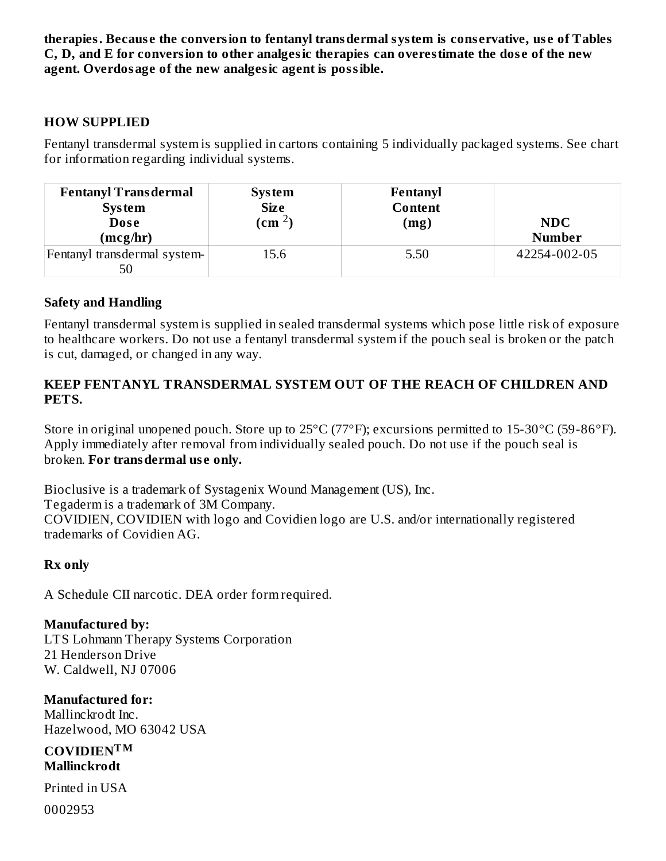**therapies. Becaus e the conversion to fentanyl transdermal system is cons ervative, us e of Tables C, D, and E for conversion to other analgesic therapies can overestimate the dos e of the new agent. Overdosage of the new analgesic agent is possible.**

### **HOW SUPPLIED**

Fentanyl transdermal system is supplied in cartons containing 5 individually packaged systems. See chart for information regarding individual systems.

| <b>Fentanyl Trans dermal</b><br><b>System</b> | <b>System</b><br><b>Size</b> | Fentanyl<br>Content |                             |
|-----------------------------------------------|------------------------------|---------------------|-----------------------------|
| <b>Dose</b><br>(mcg/hr)                       | $\rm \left( cm\ ^2\right)$   | (mg)                | <b>NDC</b><br><b>Number</b> |
| Fentanyl transdermal system-<br>50            | 15.6                         | 5.50                | 42254-002-05                |

### **Safety and Handling**

Fentanyl transdermal system is supplied in sealed transdermal systems which pose little risk of exposure to healthcare workers. Do not use a fentanyl transdermal system if the pouch seal is broken or the patch is cut, damaged, or changed in any way.

#### **KEEP FENTANYL TRANSDERMAL SYSTEM OUT OF THE REACH OF CHILDREN AND PETS.**

Store in original unopened pouch. Store up to 25°C (77°F); excursions permitted to 15-30°C (59-86°F). Apply immediately after removal from individually sealed pouch. Do not use if the pouch seal is broken. **For transdermal us e only.**

Bioclusive is a trademark of Systagenix Wound Management (US), Inc. Tegaderm is a trademark of 3M Company. COVIDIEN, COVIDIEN with logo and Covidien logo are U.S. and/or internationally registered trademarks of Covidien AG.

## **Rx only**

A Schedule CII narcotic. DEA order form required.

**Manufactured by:** LTS Lohmann Therapy Systems Corporation 21 Henderson Drive W. Caldwell, NJ 07006

**Manufactured for:** Mallinckrodt Inc. Hazelwood, MO 63042 USA

**COVIDIEN TMMallinckrodt**

Printed in USA

0002953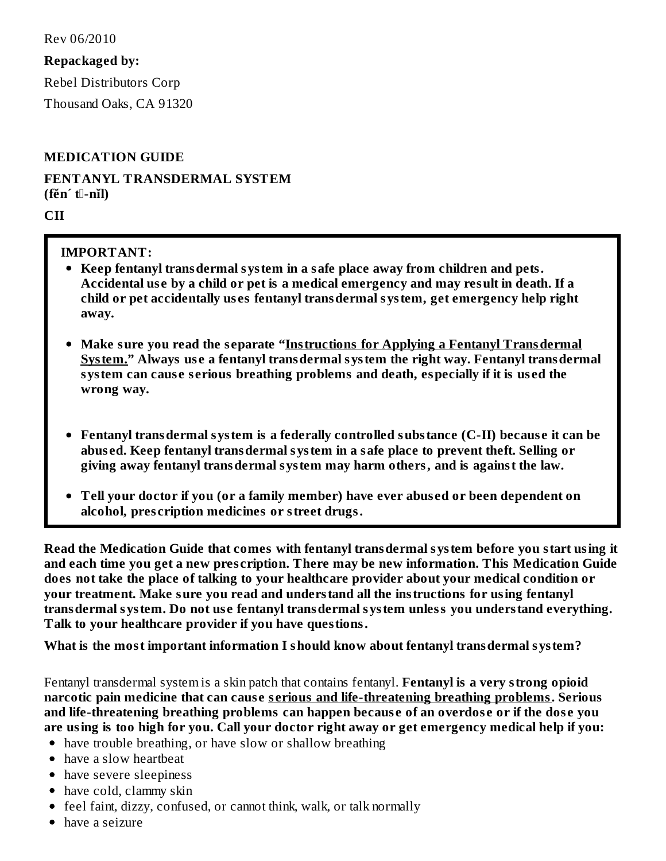Rev 06/2010

**Repackaged by:**

Rebel Distributors Corp

Thousand Oaks, CA 91320

## **MEDICATION GUIDE**

**FENTANYL TRANSDERMAL SYSTEM (fěn´ t**l-nĭl)

**CII**

## **IMPORTANT:**

- **Keep fentanyl transdermal system in a safe place away from children and pets. Accidental us e by a child or pet is a medical emergency and may result in death. If a child or pet accidentally us es fentanyl transdermal system, get emergency help right away.**
- **Make sure you read the s eparate "Instructions for Applying a Fentanyl Transdermal System." Always us e a fentanyl transdermal system the right way. Fentanyl transdermal system can caus e s erious breathing problems and death, especially if it is us ed the wrong way.**
- **Fentanyl transdermal system is a federally controlled substance (C-II) becaus e it can be abus ed. Keep fentanyl transdermal system in a safe place to prevent theft. Selling or giving away fentanyl transdermal system may harm others, and is against the law.**
- **Tell your doctor if you (or a family member) have ever abus ed or been dependent on alcohol, pres cription medicines or street drugs.**

**Read the Medication Guide that comes with fentanyl transdermal system before you start using it and each time you get a new pres cription. There may be new information. This Medication Guide does not take the place of talking to your healthcare provider about your medical condition or your treatment. Make sure you read and understand all the instructions for using fentanyl transdermal system. Do not us e fentanyl transdermal system unless you understand everything. Talk to your healthcare provider if you have questions.**

**What is the most important information I should know about fentanyl transdermal system?**

Fentanyl transdermal system is a skin patch that contains fentanyl. **Fentanyl is a very strong opioid narcotic pain medicine that can caus e s erious and life-threatening breathing problems. Serious and life-threatening breathing problems can happen becaus e of an overdos e or if the dos e you** are using is too high for you. Call your doctor right away or get emergency medical help if you:

- have trouble breathing, or have slow or shallow breathing
- have a slow heartbeat
- have severe sleepiness
- have cold, clammy skin
- feel faint, dizzy, confused, or cannot think, walk, or talk normally
- have a seizure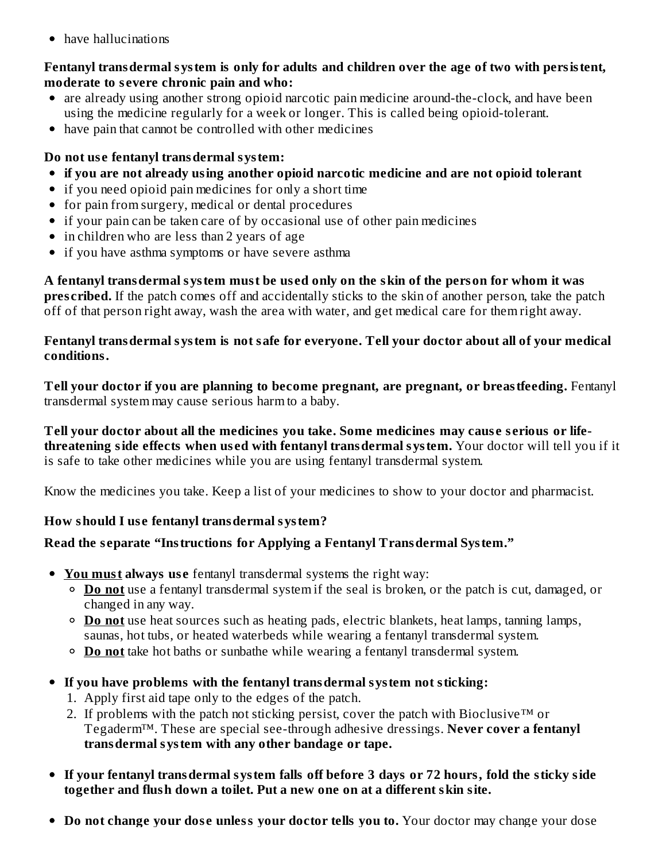• have hallucinations

### **Fentanyl transdermal system is only for adults and children over the age of two with persistent, moderate to s evere chronic pain and who:**

- are already using another strong opioid narcotic pain medicine around-the-clock, and have been using the medicine regularly for a week or longer. This is called being opioid-tolerant.
- have pain that cannot be controlled with other medicines

# **Do not us e fentanyl transdermal system:**

- **if you are not already using another opioid narcotic medicine and are not opioid tolerant**
- if you need opioid pain medicines for only a short time
- for pain from surgery, medical or dental procedures
- if your pain can be taken care of by occasional use of other pain medicines
- in children who are less than 2 years of age
- if you have asthma symptoms or have severe asthma

**A fentanyl transdermal system must be us ed only on the skin of the person for whom it was pres cribed.** If the patch comes off and accidentally sticks to the skin of another person, take the patch off of that person right away, wash the area with water, and get medical care for them right away.

### **Fentanyl transdermal system is not safe for everyone. Tell your doctor about all of your medical conditions.**

**Tell your doctor if you are planning to become pregnant, are pregnant, or breastfeeding.** Fentanyl transdermal system may cause serious harm to a baby.

**Tell your doctor about all the medicines you take. Some medicines may caus e s erious or lifethreatening side effects when us ed with fentanyl transdermal system.** Your doctor will tell you if it is safe to take other medicines while you are using fentanyl transdermal system.

Know the medicines you take. Keep a list of your medicines to show to your doctor and pharmacist.

# **How should I us e fentanyl transdermal system?**

# **Read the s eparate "Instructions for Applying a Fentanyl Transdermal System."**

- **You must always us e** fentanyl transdermal systems the right way:
	- **Do not** use a fentanyl transdermal system if the seal is broken, or the patch is cut, damaged, or changed in any way.
	- **Do not** use heat sources such as heating pads, electric blankets, heat lamps, tanning lamps, saunas, hot tubs, or heated waterbeds while wearing a fentanyl transdermal system.
	- **Do not** take hot baths or sunbathe while wearing a fentanyl transdermal system.
- **If you have problems with the fentanyl transdermal system not sticking:**
	- 1. Apply first aid tape only to the edges of the patch.
	- 2. If problems with the patch not sticking persist, cover the patch with Bioclusive<sup>TM</sup> or Tegaderm™. These are special see-through adhesive dressings. **Never cover a fentanyl transdermal system with any other bandage or tape.**
- **If your fentanyl transdermal system falls off before 3 days or 72 hours, fold the sticky side together and flush down a toilet. Put a new one on at a different skin site.**
- **Do not change your dos e unless your doctor tells you to.** Your doctor may change your dose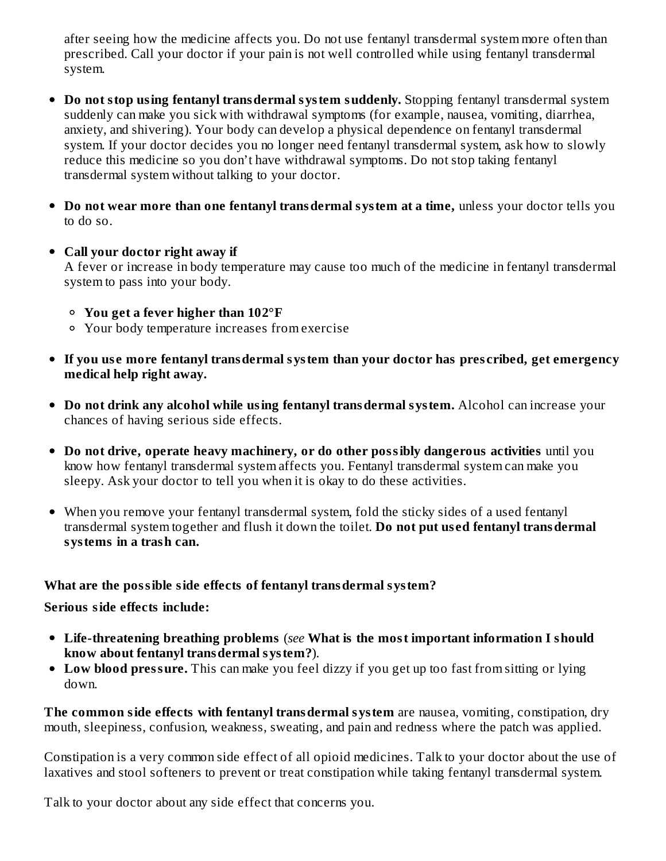after seeing how the medicine affects you. Do not use fentanyl transdermal system more often than prescribed. Call your doctor if your pain is not well controlled while using fentanyl transdermal system.

- **Do not stop using fentanyl transdermal system suddenly.** Stopping fentanyl transdermal system  $\bullet$ suddenly can make you sick with withdrawal symptoms (for example, nausea, vomiting, diarrhea, anxiety, and shivering). Your body can develop a physical dependence on fentanyl transdermal system. If your doctor decides you no longer need fentanyl transdermal system, ask how to slowly reduce this medicine so you don't have withdrawal symptoms. Do not stop taking fentanyl transdermal system without talking to your doctor.
- **Do not wear more than one fentanyl transdermal system at a time,** unless your doctor tells you to do so.
- **Call your doctor right away if** A fever or increase in body temperature may cause too much of the medicine in fentanyl transdermal system to pass into your body.
	- **You get a fever higher than 102°F**
	- Your body temperature increases from exercise
- **If you us e more fentanyl transdermal system than your doctor has pres cribed, get emergency medical help right away.**
- **Do not drink any alcohol while using fentanyl transdermal system.** Alcohol can increase your chances of having serious side effects.
- **Do not drive, operate heavy machinery, or do other possibly dangerous activities** until you know how fentanyl transdermal system affects you. Fentanyl transdermal system can make you sleepy. Ask your doctor to tell you when it is okay to do these activities.
- When you remove your fentanyl transdermal system, fold the sticky sides of a used fentanyl transdermal system together and flush it down the toilet. **Do not put us ed fentanyl transdermal systems in a trash can.**

#### **What are the possible side effects of fentanyl transdermal system?**

**Serious side effects include:**

- **Life-threatening breathing problems** (*see* **What is the most important information I should know about fentanyl transdermal system?**).
- **Low blood pressure.** This can make you feel dizzy if you get up too fast from sitting or lying down.

**The common side effects with fentanyl transdermal system** are nausea, vomiting, constipation, dry mouth, sleepiness, confusion, weakness, sweating, and pain and redness where the patch was applied.

Constipation is a very common side effect of all opioid medicines. Talk to your doctor about the use of laxatives and stool softeners to prevent or treat constipation while taking fentanyl transdermal system.

Talk to your doctor about any side effect that concerns you.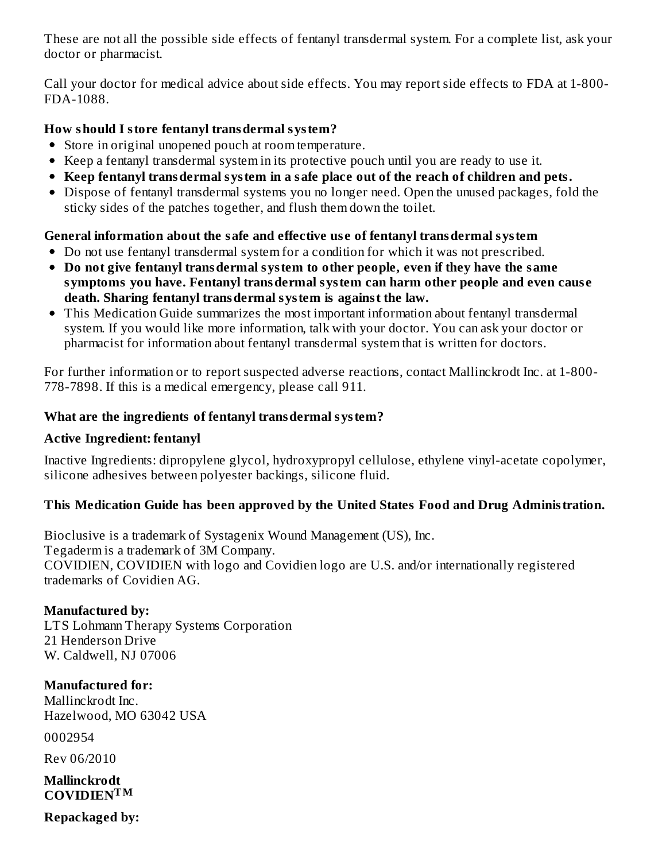These are not all the possible side effects of fentanyl transdermal system. For a complete list, ask your doctor or pharmacist.

Call your doctor for medical advice about side effects. You may report side effects to FDA at 1-800- FDA-1088.

## **How should I store fentanyl transdermal system?**

- Store in original unopened pouch at room temperature.
- Keep a fentanyl transdermal system in its protective pouch until you are ready to use it.
- **Keep fentanyl transdermal system in a safe place out of the reach of children and pets.**
- Dispose of fentanyl transdermal systems you no longer need. Open the unused packages, fold the sticky sides of the patches together, and flush them down the toilet.

## **General information about the safe and effective us e of fentanyl transdermal system**

- Do not use fentanyl transdermal system for a condition for which it was not prescribed.
- **Do not give fentanyl transdermal system to other people, even if they have the same symptoms you have. Fentanyl transdermal system can harm other people and even caus e death. Sharing fentanyl transdermal system is against the law.**
- This Medication Guide summarizes the most important information about fentanyl transdermal system. If you would like more information, talk with your doctor. You can ask your doctor or pharmacist for information about fentanyl transdermal system that is written for doctors.

For further information or to report suspected adverse reactions, contact Mallinckrodt Inc. at 1-800- 778-7898. If this is a medical emergency, please call 911.

## **What are the ingredients of fentanyl transdermal system?**

## **Active Ingredient: fentanyl**

Inactive Ingredients: dipropylene glycol, hydroxypropyl cellulose, ethylene vinyl-acetate copolymer, silicone adhesives between polyester backings, silicone fluid.

## **This Medication Guide has been approved by the United States Food and Drug Administration.**

Bioclusive is a trademark of Systagenix Wound Management (US), Inc. Tegaderm is a trademark of 3M Company. COVIDIEN, COVIDIEN with logo and Covidien logo are U.S. and/or internationally registered trademarks of Covidien AG.

## **Manufactured by:**

LTS Lohmann Therapy Systems Corporation 21 Henderson Drive W. Caldwell, NJ 07006

## **Manufactured for:**

Mallinckrodt Inc. Hazelwood, MO 63042 USA

0002954

Rev 06/2010

**Mallinckrodt COVIDIEN TM**

**Repackaged by:**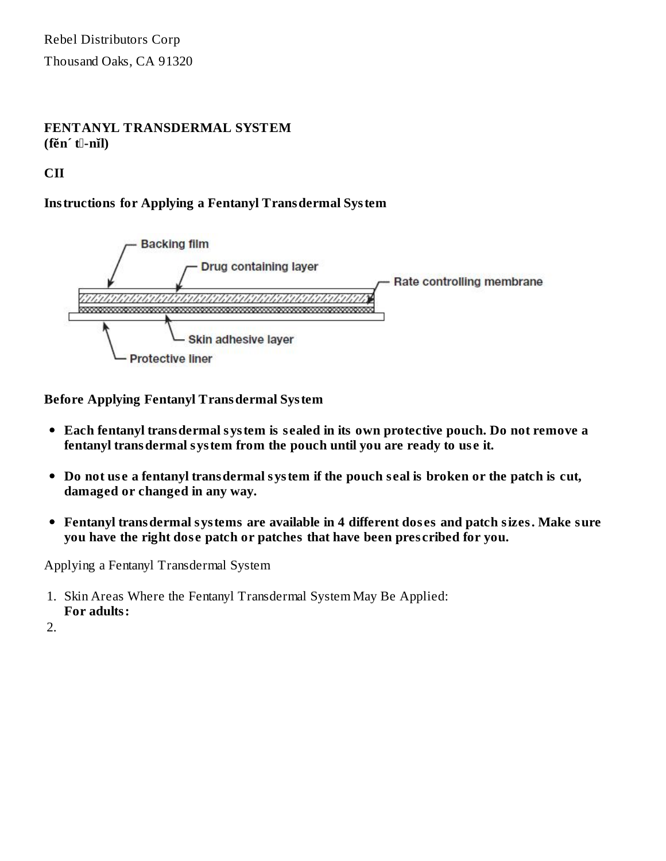Rebel Distributors Corp Thousand Oaks, CA 91320

### **FENTANYL TRANSDERMAL SYSTEM (fĕn´ t** $\Box$ -nĭ**l**)

**CII**

# **Instructions for Applying a Fentanyl Transdermal System**



**Before Applying Fentanyl Transdermal System**

- **Each fentanyl transdermal system is s ealed in its own protective pouch. Do not remove a fentanyl transdermal system from the pouch until you are ready to us e it.**
- Do not use a fentanyl transdermal system if the pouch seal is broken or the patch is cut, **damaged or changed in any way.**
- **Fentanyl transdermal systems are available in 4 different dos es and patch sizes. Make sure you have the right dos e patch or patches that have been pres cribed for you.**

Applying a Fentanyl Transdermal System

- 1. Skin Areas Where the Fentanyl Transdermal System May Be Applied: **For adults:**
- 2.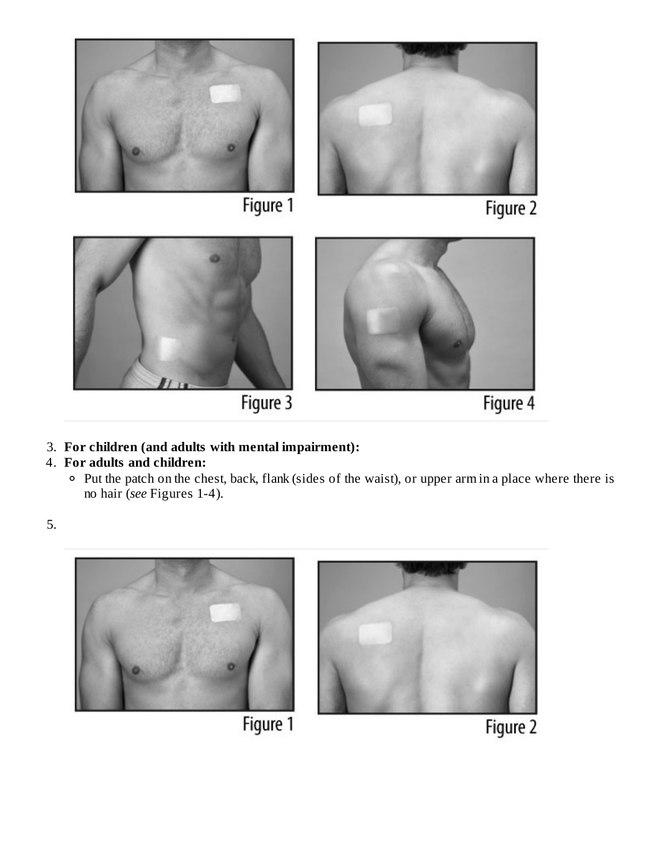













3. **For children (and adults with mental impairment):**

# 4. **For adults and children:**

Put the patch on the chest, back, flank (sides of the waist), or upper arm in a place where there is no hair (*see* Figures 1-4).

5.





Figure 1

Figure 2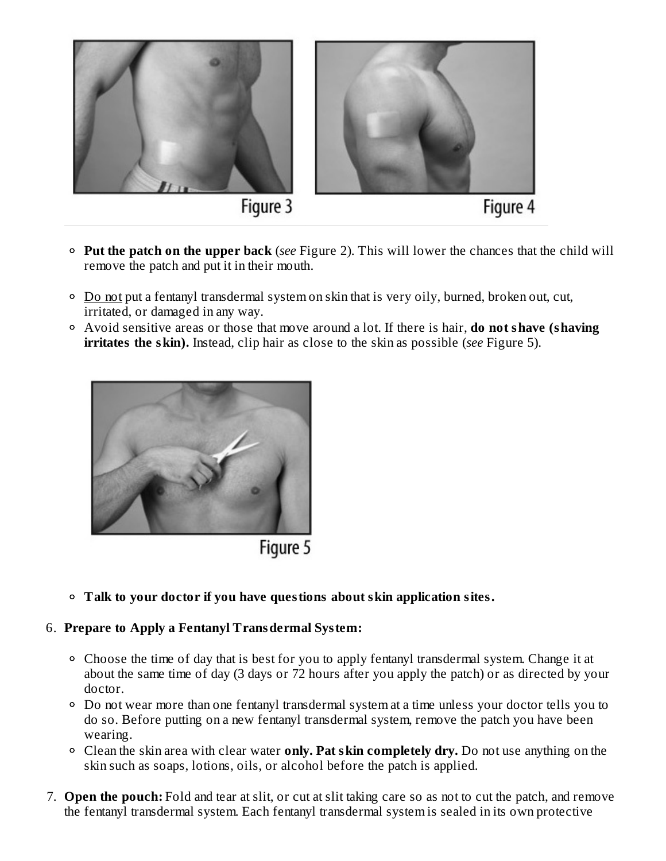

- **Put the patch on the upper back** (*see* Figure 2). This will lower the chances that the child will remove the patch and put it in their mouth.
- <sup>o</sup> Do not put a fentanyl transdermal system on skin that is very oily, burned, broken out, cut, irritated, or damaged in any way.
- Avoid sensitive areas or those that move around a lot. If there is hair, **do not shave (shaving irritates the skin).** Instead, clip hair as close to the skin as possible (*see* Figure 5).



Figure 5

**Talk to your doctor if you have questions about skin application sites.**

## 6. **Prepare to Apply a Fentanyl Transdermal System:**

- Choose the time of day that is best for you to apply fentanyl transdermal system. Change it at about the same time of day (3 days or 72 hours after you apply the patch) or as directed by your doctor.
- Do not wear more than one fentanyl transdermal system at a time unless your doctor tells you to do so. Before putting on a new fentanyl transdermal system, remove the patch you have been wearing.
- Clean the skin area with clear water **only. Pat skin completely dry.** Do not use anything on the skin such as soaps, lotions, oils, or alcohol before the patch is applied.
- 7. **Open the pouch:** Fold and tear at slit, or cut at slit taking care so as not to cut the patch, and remove the fentanyl transdermal system. Each fentanyl transdermal system is sealed in its own protective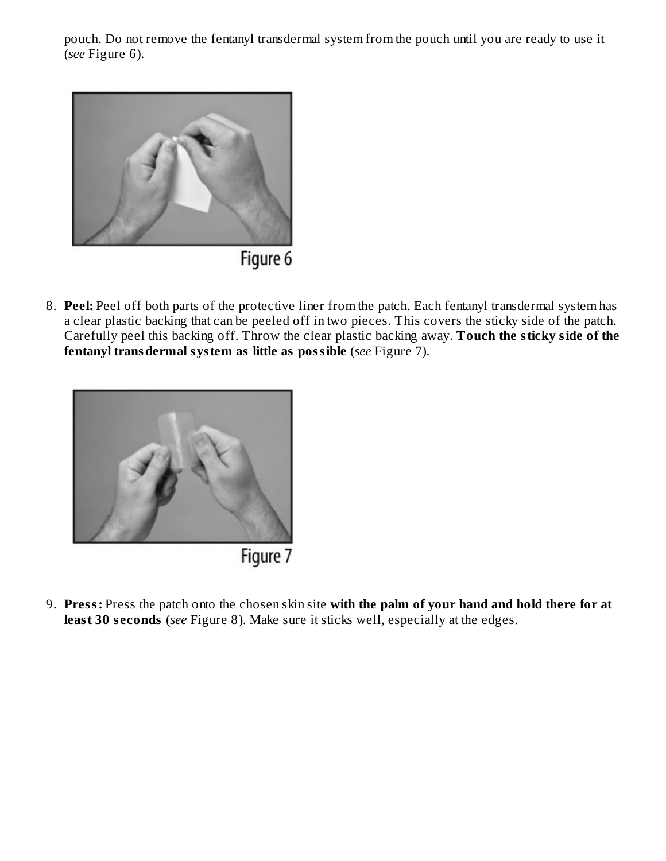pouch. Do not remove the fentanyl transdermal system from the pouch until you are ready to use it (*see* Figure 6).



Figure 6

8. **Peel:** Peel off both parts of the protective liner from the patch. Each fentanyl transdermal system has a clear plastic backing that can be peeled off in two pieces. This covers the sticky side of the patch. Carefully peel this backing off. Throw the clear plastic backing away. **Touch the sticky side of the fentanyl transdermal system as little as possible** (*see* Figure 7).



Figure 7

9. **Press:** Press the patch onto the chosen skin site **with the palm of your hand and hold there for at least 30 s econds** (*see* Figure 8). Make sure it sticks well, especially at the edges.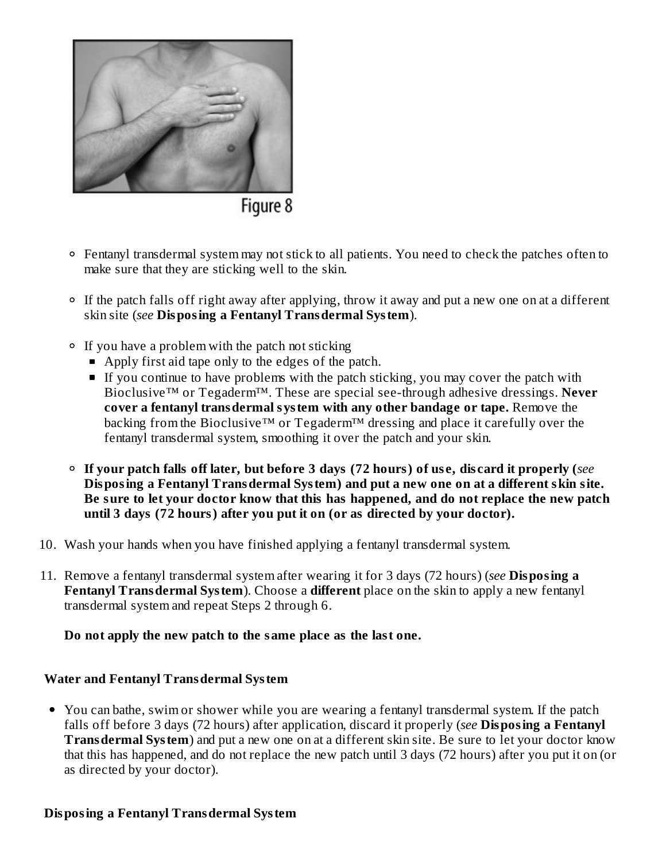

Figure 8

- Fentanyl transdermal system may not stick to all patients. You need to check the patches often to make sure that they are sticking well to the skin.
- If the patch falls off right away after applying, throw it away and put a new one on at a different skin site (*see* **Disposing a Fentanyl Transdermal System**).
- If you have a problem with the patch not sticking
	- Apply first aid tape only to the edges of the patch.
	- If you continue to have problems with the patch sticking, you may cover the patch with Bioclusive™ or Tegaderm™. These are special see-through adhesive dressings. **Never cover a fentanyl transdermal system with any other bandage or tape.** Remove the backing from the Bioclusive™ or Tegaderm™ dressing and place it carefully over the fentanyl transdermal system, smoothing it over the patch and your skin.
- If your patch falls off later, but before 3 days (72 hours) of use, discard it properly (see **Disposing a Fentanyl Transdermal System) and put a new one on at a different skin site. Be sure to let your doctor know that this has happened, and do not replace the new patch until 3 days (72 hours) after you put it on (or as directed by your doctor).**
- 10. Wash your hands when you have finished applying a fentanyl transdermal system.
- 11. Remove a fentanyl transdermal system after wearing it for 3 days (72 hours) (*see* **Disposing a Fentanyl Transdermal System**). Choose a **different** place on the skin to apply a new fentanyl transdermal system and repeat Steps 2 through 6.

## **Do not apply the new patch to the same place as the last one.**

## **Water and Fentanyl Transdermal System**

You can bathe, swim or shower while you are wearing a fentanyl transdermal system. If the patch falls off before 3 days (72 hours) after application, discard it properly (*see* **Disposing a Fentanyl Transdermal System**) and put a new one on at a different skin site. Be sure to let your doctor know that this has happened, and do not replace the new patch until 3 days (72 hours) after you put it on (or as directed by your doctor).

#### **Disposing a Fentanyl Transdermal System**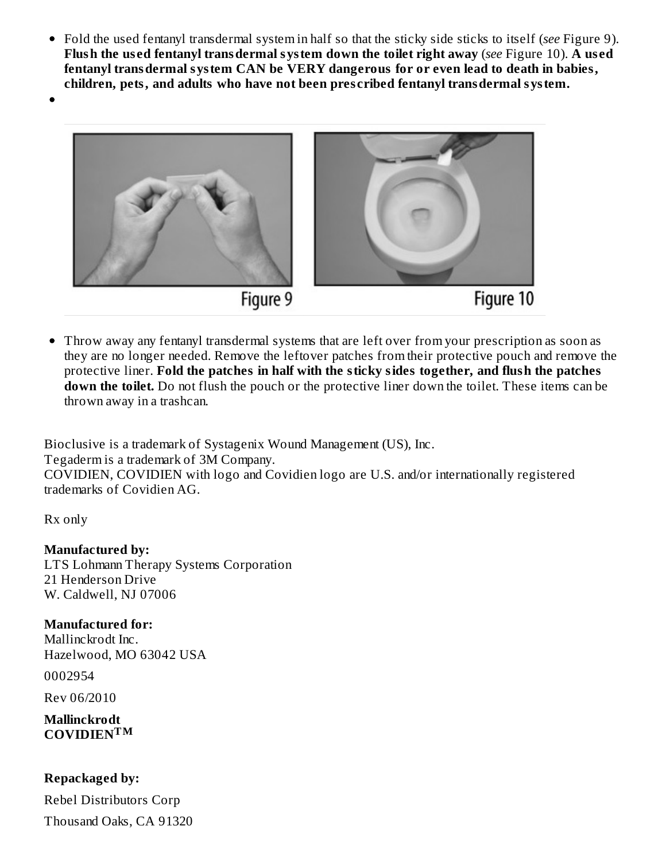Fold the used fentanyl transdermal system in half so that the sticky side sticks to itself (*see* Figure 9). **Flush the us ed fentanyl transdermal system down the toilet right away** (*see* Figure 10). **A us ed fentanyl transdermal system CAN be VERY dangerous for or even lead to death in babies, children, pets, and adults who have not been pres cribed fentanyl transdermal system.**



Throw away any fentanyl transdermal systems that are left over from your prescription as soon as  $\bullet$ they are no longer needed. Remove the leftover patches from their protective pouch and remove the protective liner. **Fold the patches in half with the sticky sides together, and flush the patches down the toilet.** Do not flush the pouch or the protective liner down the toilet. These items can be thrown away in a trashcan.

Bioclusive is a trademark of Systagenix Wound Management (US), Inc. Tegaderm is a trademark of 3M Company. COVIDIEN, COVIDIEN with logo and Covidien logo are U.S. and/or internationally registered trademarks of Covidien AG.

Rx only

 $\bullet$ 

# **Manufactured by:**

LTS Lohmann Therapy Systems Corporation 21 Henderson Drive W. Caldwell, NJ 07006

# **Manufactured for:**

Mallinckrodt Inc. Hazelwood, MO 63042 USA

0002954

Rev 06/2010

**Mallinckrodt COVIDIEN TM**

# **Repackaged by:**

Rebel Distributors Corp Thousand Oaks, CA 91320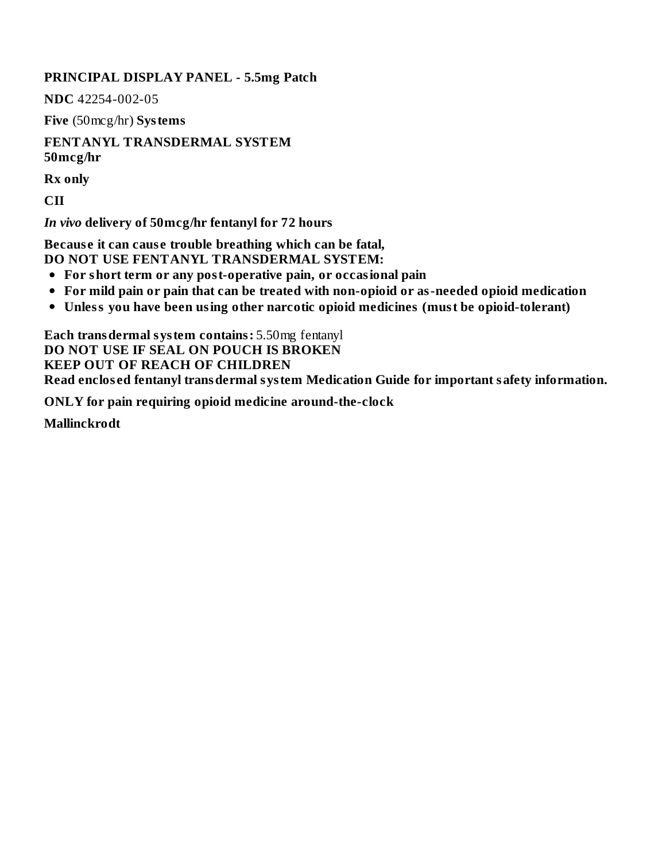**PRINCIPAL DISPLAY PANEL - 5.5mg Patch**

**NDC** 42254-002-05

**Five** (50mcg/hr) **Systems**

**FENTANYL TRANSDERMAL SYSTEM 50mcg/hr**

**Rx only**

**CII**

*In vivo* **delivery of 50mcg/hr fentanyl for 72 hours**

**Becaus e it can caus e trouble breathing which can be fatal, DO NOT USE FENTANYL TRANSDERMAL SYSTEM:**

- **For short term or any post-operative pain, or occasional pain**
- **For mild pain or pain that can be treated with non-opioid or as-needed opioid medication**
- **Unless you have been using other narcotic opioid medicines (must be opioid-tolerant)**

**Each transdermal system contains:** 5.50mg fentanyl **DO NOT USE IF SEAL ON POUCH IS BROKEN KEEP OUT OF REACH OF CHILDREN Read enclos ed fentanyl transdermal system Medication Guide for important safety information.**

**ONLY for pain requiring opioid medicine around-the-clock**

**Mallinckrodt**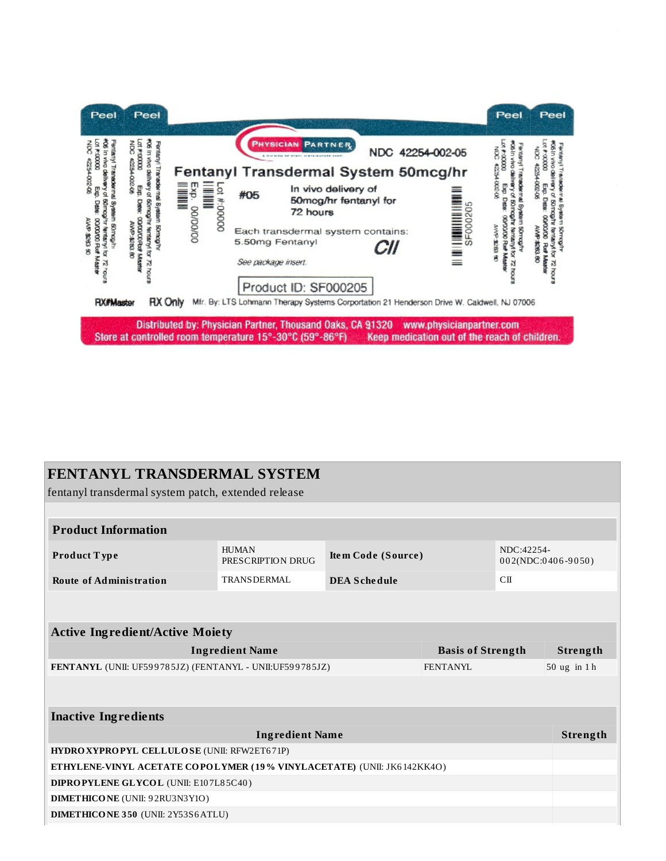

# **FENTANYL TRANSDERMAL SYSTEM**

| fentanyl transdermal system patch, extended release |  |  |
|-----------------------------------------------------|--|--|
|                                                     |  |  |

| <b>Product Information</b>                                                    |                                   |                     |  |                                  |              |
|-------------------------------------------------------------------------------|-----------------------------------|---------------------|--|----------------------------------|--------------|
| Product Type                                                                  | <b>HUMAN</b><br>PRESCRIPTION DRUG | Item Code (Source)  |  | NDC:42254-<br>002(NDC:0406-9050) |              |
| <b>Route of Administration</b>                                                | TRANSDERMAL                       | <b>DEA Schedule</b> |  | C <sub>II</sub>                  |              |
|                                                                               |                                   |                     |  |                                  |              |
|                                                                               |                                   |                     |  |                                  |              |
| <b>Active Ingredient/Active Moiety</b>                                        |                                   |                     |  |                                  |              |
| <b>Ingredient Name</b><br><b>Basis of Strength</b>                            |                                   |                     |  |                                  | Strength     |
| FENTANYL (UNII: UF599785JZ) (FENTANYL - UNII:UF599785JZ)<br>FENTANYL          |                                   |                     |  |                                  | 50 ug in 1 h |
|                                                                               |                                   |                     |  |                                  |              |
|                                                                               |                                   |                     |  |                                  |              |
| <b>Inactive Ingredients</b>                                                   |                                   |                     |  |                                  |              |
|                                                                               | <b>Ingredient Name</b>            |                     |  |                                  | Strength     |
| HYDRO XYPROPYL CELLULOSE (UNII: RFW2ET671P)                                   |                                   |                     |  |                                  |              |
| <b>ETHYLENE-VINYL ACETATE COPOLYMER (19% VINYLACETATE) (UNII: JK6142KK4O)</b> |                                   |                     |  |                                  |              |
| DIPROPYLENE GLYCOL (UNII: E107L85C40)                                         |                                   |                     |  |                                  |              |
| <b>DIMETHICO NE (UNII: 92RU3N3Y1O)</b>                                        |                                   |                     |  |                                  |              |
| <b>DIMETHICONE 350 (UNII: 2Y53S6 ATLU)</b>                                    |                                   |                     |  |                                  |              |